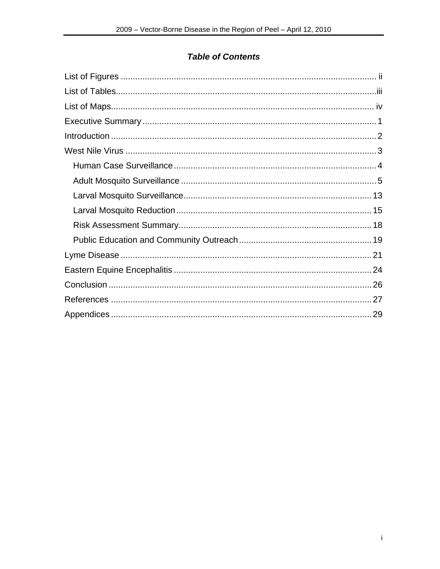# **Table of Contents**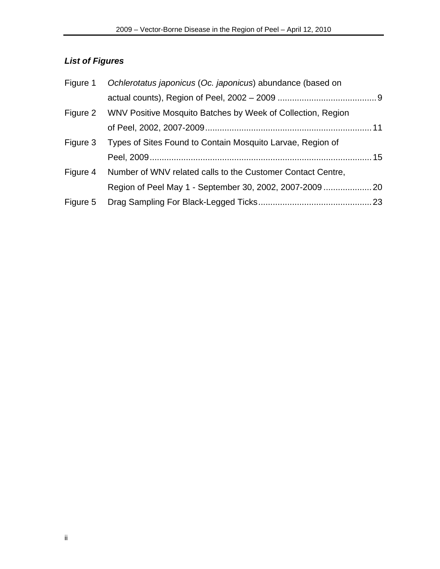# <span id="page-1-0"></span>*List of Figures*

|          | Figure 1 Ochlerotatus japonicus (Oc. japonicus) abundance (based on  |  |
|----------|----------------------------------------------------------------------|--|
|          |                                                                      |  |
|          | Figure 2 WNV Positive Mosquito Batches by Week of Collection, Region |  |
|          |                                                                      |  |
| Figure 3 | Types of Sites Found to Contain Mosquito Larvae, Region of           |  |
|          |                                                                      |  |
| Figure 4 | Number of WNV related calls to the Customer Contact Centre,          |  |
|          |                                                                      |  |
| Figure 5 |                                                                      |  |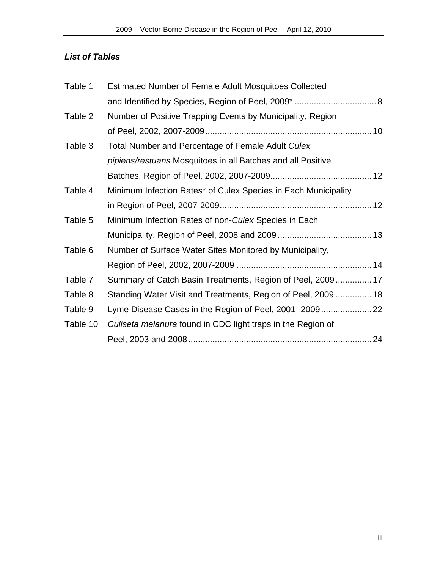# <span id="page-2-0"></span>*List of Tables*

| Table 1  | <b>Estimated Number of Female Adult Mosquitoes Collected</b>   |  |
|----------|----------------------------------------------------------------|--|
|          |                                                                |  |
| Table 2  | Number of Positive Trapping Events by Municipality, Region     |  |
|          |                                                                |  |
| Table 3  | Total Number and Percentage of Female Adult Culex              |  |
|          | pipiens/restuans Mosquitoes in all Batches and all Positive    |  |
|          |                                                                |  |
| Table 4  | Minimum Infection Rates* of Culex Species in Each Municipality |  |
|          |                                                                |  |
| Table 5  | Minimum Infection Rates of non-Culex Species in Each           |  |
|          |                                                                |  |
| Table 6  | Number of Surface Water Sites Monitored by Municipality,       |  |
|          |                                                                |  |
| Table 7  | Summary of Catch Basin Treatments, Region of Peel, 2009 17     |  |
| Table 8  | Standing Water Visit and Treatments, Region of Peel, 2009  18  |  |
| Table 9  | Lyme Disease Cases in the Region of Peel, 2001-2009            |  |
| Table 10 | Culiseta melanura found in CDC light traps in the Region of    |  |
|          |                                                                |  |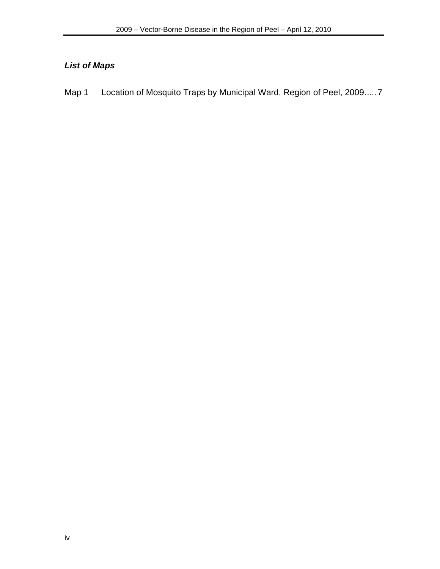# <span id="page-3-0"></span>*List of Maps*

Map 1 Location of Mosquito Traps by Municipal Ward, Region of Peel, 2009.....7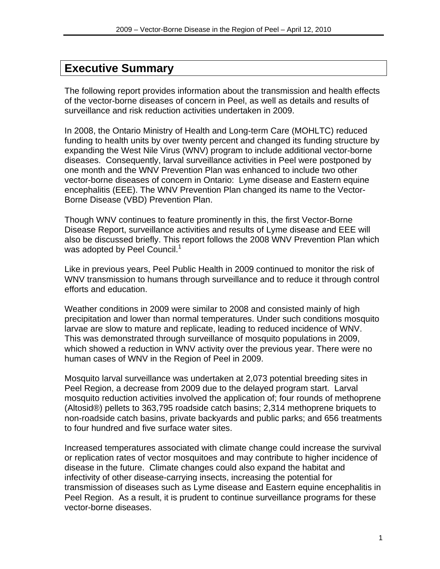# <span id="page-4-0"></span>**Executive Summary**

The following report provides information about the transmission and health effects of the vector-borne diseases of concern in Peel, as well as details and results of surveillance and risk reduction activities undertaken in 2009.

In 2008, the Ontario Ministry of Health and Long-term Care (MOHLTC) reduced funding to health units by over twenty percent and changed its funding structure by expanding the West Nile Virus (WNV) program to include additional vector-borne diseases. Consequently, larval surveillance activities in Peel were postponed by one month and the WNV Prevention Plan was enhanced to include two other vector-borne diseases of concern in Ontario: Lyme disease and Eastern equine encephalitis (EEE). The WNV Prevention Plan changed its name to the Vector-Borne Disease (VBD) Prevention Plan.

Though WNV continues to feature prominently in this, the first Vector-Borne Disease Report, surveillance activities and results of Lyme disease and EEE will also be discussed briefly. This report follows the 2008 WNV Prevention Plan which was adopted by Peel Council.<sup>1</sup>

Like in previous years, Peel Public Health in 2009 continued to monitor the risk of WNV transmission to humans through surveillance and to reduce it through control efforts and education.

Weather conditions in 2009 were similar to 2008 and consisted mainly of high precipitation and lower than normal temperatures. Under such conditions mosquito larvae are slow to mature and replicate, leading to reduced incidence of WNV. This was demonstrated through surveillance of mosquito populations in 2009, which showed a reduction in WNV activity over the previous year. There were no human cases of WNV in the Region of Peel in 2009.

Mosquito larval surveillance was undertaken at 2,073 potential breeding sites in Peel Region, a decrease from 2009 due to the delayed program start. Larval mosquito reduction activities involved the application of; four rounds of methoprene (Altosid®) pellets to 363,795 roadside catch basins; 2,314 methoprene briquets to non-roadside catch basins, private backyards and public parks; and 656 treatments to four hundred and five surface water sites.

Increased temperatures associated with climate change could increase the survival or replication rates of vector mosquitoes and may contribute to higher incidence of disease in the future. Climate changes could also expand the habitat and infectivity of other disease-carrying insects, increasing the potential for transmission of diseases such as Lyme disease and Eastern equine encephalitis in Peel Region. As a result, it is prudent to continue surveillance programs for these vector-borne diseases.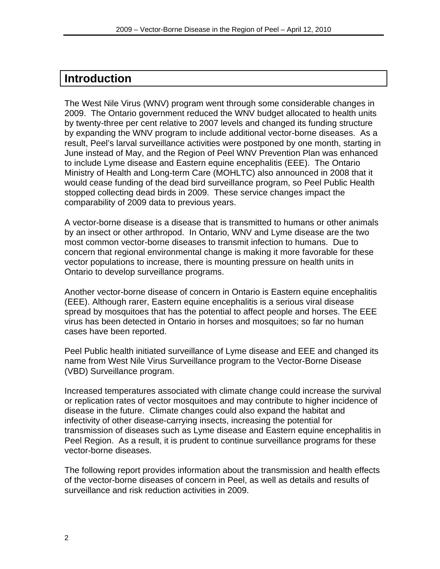# <span id="page-5-0"></span>**Introduction**

The West Nile Virus (WNV) program went through some considerable changes in 2009. The Ontario government reduced the WNV budget allocated to health units by twenty-three per cent relative to 2007 levels and changed its funding structure by expanding the WNV program to include additional vector-borne diseases. As a result, Peel's larval surveillance activities were postponed by one month, starting in June instead of May, and the Region of Peel WNV Prevention Plan was enhanced to include Lyme disease and Eastern equine encephalitis (EEE). The Ontario Ministry of Health and Long-term Care (MOHLTC) also announced in 2008 that it would cease funding of the dead bird surveillance program, so Peel Public Health stopped collecting dead birds in 2009. These service changes impact the comparability of 2009 data to previous years.

A vector-borne disease is a disease that is transmitted to humans or other animals by an insect or other arthropod. In Ontario, WNV and Lyme disease are the two most common vector-borne diseases to transmit infection to humans. Due to concern that regional environmental change is making it more favorable for these vector populations to increase, there is mounting pressure on health units in Ontario to develop surveillance programs.

Another vector-borne disease of concern in Ontario is Eastern equine encephalitis (EEE). Although rarer, Eastern equine encephalitis is a serious viral disease spread by mosquitoes that has the potential to affect people and horses. The EEE virus has been detected in Ontario in horses and mosquitoes; so far no human cases have been reported.

Peel Public health initiated surveillance of Lyme disease and EEE and changed its name from West Nile Virus Surveillance program to the Vector-Borne Disease (VBD) Surveillance program.

Increased temperatures associated with climate change could increase the survival or replication rates of vector mosquitoes and may contribute to higher incidence of disease in the future. Climate changes could also expand the habitat and infectivity of other disease-carrying insects, increasing the potential for transmission of diseases such as Lyme disease and Eastern equine encephalitis in Peel Region. As a result, it is prudent to continue surveillance programs for these vector-borne diseases.

The following report provides information about the transmission and health effects of the vector-borne diseases of concern in Peel, as well as details and results of surveillance and risk reduction activities in 2009.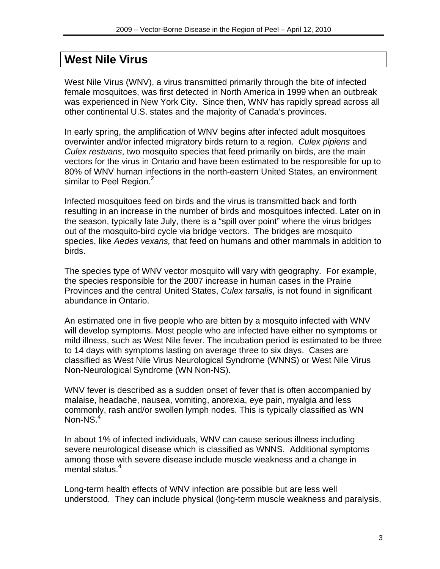# <span id="page-6-0"></span>**West Nile Virus**

West Nile Virus (WNV), a virus transmitted primarily through the bite of infected female mosquitoes, was first detected in North America in 1999 when an outbreak was experienced in New York City. Since then, WNV has rapidly spread across all other continental U.S. states and the majority of Canada's provinces.

In early spring, the amplification of WNV begins after infected adult mosquitoes overwinter and/or infected migratory birds return to a region. *Culex pipiens* and *Culex restuans*, two mosquito species that feed primarily on birds, are the main vectors for the virus in Ontario and have been estimated to be responsible for up to 80% of WNV human infections in the north-eastern United States, an environment similar to Peel Region.<sup>2</sup>

Infected mosquitoes feed on birds and the virus is transmitted back and forth resulting in an increase in the number of birds and mosquitoes infected. Later on in the season, typically late July, there is a "spill over point" where the virus bridges out of the mosquito-bird cycle via bridge vectors. The bridges are mosquito species, like *Aedes vexans,* that feed on humans and other mammals in addition to birds.

The species type of WNV vector mosquito will vary with geography. For example, the species responsible for the 2007 increase in human cases in the Prairie Provinces and the central United States, *Culex tarsalis*, is not found in significant abundance in Ontario.

An estimated one in five people who are bitten by a mosquito infected with WNV will develop symptoms. Most people who are infected have either no symptoms or mild illness, such as West Nile fever. The incubation period is estimated to be three to 14 days with symptoms lasting on average three to six days. Cases are classified as West Nile Virus Neurological Syndrome (WNNS) or West Nile Virus Non-Neurological Syndrome (WN Non-NS).

WNV fever is described as a sudden onset of fever that is often accompanied by malaise, headache, nausea, vomiting, anorexia, eye pain, myalgia and less commonly, rash and/or swollen lymph nodes. This is typically classified as WN Non-NS.<sup>4</sup>

In about 1% of infected individuals, WNV can cause serious illness including severe neurological disease which is classified as WNNS. Additional symptoms among those with severe disease include muscle weakness and a change in mental status.<sup>4</sup>

Long-term health effects of WNV infection are possible but are less well understood. They can include physical (long-term muscle weakness and paralysis,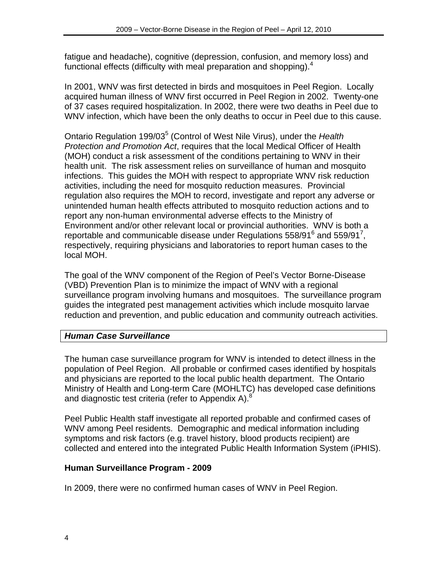<span id="page-7-0"></span>fatigue and headache), cognitive (depression, confusion, and memory loss) and functional effects (difficulty with meal preparation and shopping). $4$ 

In 2001, WNV was first detected in birds and mosquitoes in Peel Region. Locally acquired human illness of WNV first occurred in Peel Region in 2002. Twenty-one of 37 cases required hospitalization. In 2002, there were two deaths in Peel due to WNV infection, which have been the only deaths to occur in Peel due to this cause.

Ontario Regulation 199/03<sup>5</sup> (Control of West Nile Virus), under the Health *Protection and Promotion Act*, requires that the local Medical Officer of Health (MOH) conduct a risk assessment of the conditions pertaining to WNV in their health unit. The risk assessment relies on surveillance of human and mosquito infections. This guides the MOH with respect to appropriate WNV risk reduction activities, including the need for mosquito reduction measures. Provincial regulation also requires the MOH to record, investigate and report any adverse or unintended human health effects attributed to mosquito reduction actions and to report any non-human environmental adverse effects to the Ministry of Environment and/or other relevant local or provincial authorities. WNV is both a reportable and communicable disease under Regulations  $558/91^6$  and  $559/91^7$ , respectively, requiring physicians and laboratories to report human cases to the local MOH.

The goal of the WNV component of the Region of Peel's Vector Borne-Disease (VBD) Prevention Plan is to minimize the impact of WNV with a regional surveillance program involving humans and mosquitoes. The surveillance program guides the integrated pest management activities which include mosquito larvae reduction and prevention, and public education and community outreach activities.

# *Human Case Surveillance*

The human case surveillance program for WNV is intended to detect illness in the population of Peel Region. All probable or confirmed cases identified by hospitals and physicians are reported to the local public health department. The Ontario Ministry of Health and Long-term Care (MOHLTC) has developed case definitions and diagnostic test criteria (refer to Appendix A).<sup>8</sup>

Peel Public Health staff investigate all reported probable and confirmed cases of WNV among Peel residents. Demographic and medical information including symptoms and risk factors (e.g. travel history, blood products recipient) are collected and entered into the integrated Public Health Information System (iPHIS).

# **Human Surveillance Program - 2009**

In 2009, there were no confirmed human cases of WNV in Peel Region.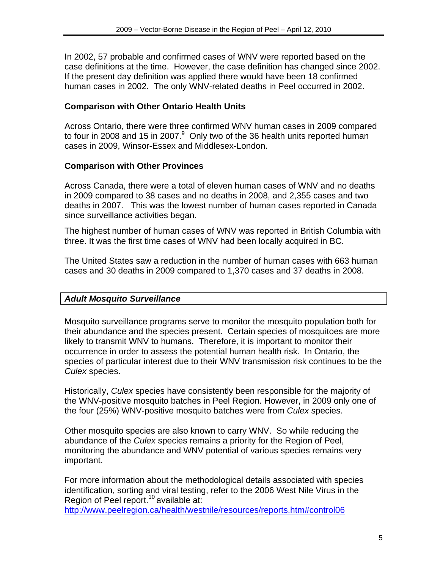<span id="page-8-0"></span>In 2002, 57 probable and confirmed cases of WNV were reported based on the case definitions at the time. However, the case definition has changed since 2002. If the present day definition was applied there would have been 18 confirmed human cases in 2002. The only WNV-related deaths in Peel occurred in 2002.

### **Comparison with Other Ontario Health Units**

Across Ontario, there were three confirmed WNV human cases in 2009 compared to four in 2008 and 15 in 2007. $9$  Only two of the 36 health units reported human cases in 2009, Winsor-Essex and Middlesex-London.

### **Comparison with Other Provinces**

Across Canada, there were a total of eleven human cases of WNV and no deaths in 2009 compared to 38 cases and no deaths in 2008, and 2,355 cases and two deaths in 2007. This was the lowest number of human cases reported in Canada since surveillance activities began.

The highest number of human cases of WNV was reported in British Columbia with three. It was the first time cases of WNV had been locally acquired in BC.

The United States saw a reduction in the number of human cases with 663 human cases and 30 deaths in 2009 compared to 1,370 cases and 37 deaths in 2008.

# *Adult Mosquito Surveillance*

Mosquito surveillance programs serve to monitor the mosquito population both for their abundance and the species present. Certain species of mosquitoes are more likely to transmit WNV to humans. Therefore, it is important to monitor their occurrence in order to assess the potential human health risk. In Ontario, the species of particular interest due to their WNV transmission risk continues to be the *Culex* species.

Historically, *Culex* species have consistently been responsible for the majority of the WNV-positive mosquito batches in Peel Region. However, in 2009 only one of the four (25%) WNV-positive mosquito batches were from *Culex* species.

Other mosquito species are also known to carry WNV. So while reducing the abundance of the *Culex* species remains a priority for the Region of Peel, monitoring the abundance and WNV potential of various species remains very important.

For more information about the methodological details associated with species identification, sorting and viral testing, refer to the 2006 West Nile Virus in the Region of Peel report.<sup>10</sup> available at:

<http://www.peelregion.ca/health/westnile/resources/reports.htm#control06>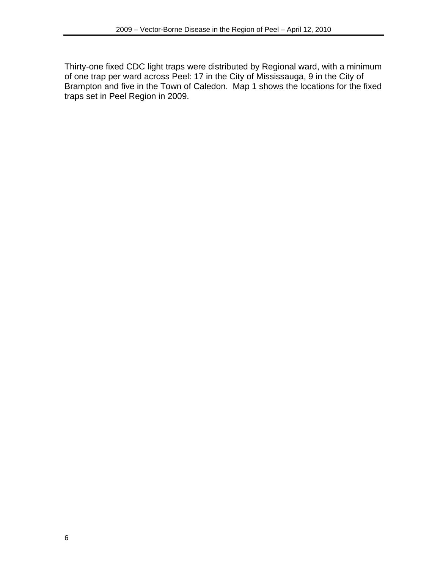Thirty-one fixed CDC light traps were distributed by Regional ward, with a minimum of one trap per ward across Peel: 17 in the City of Mississauga, 9 in the City of Brampton and five in the Town of Caledon. Map 1 shows the locations for the fixed traps set in Peel Region in 2009.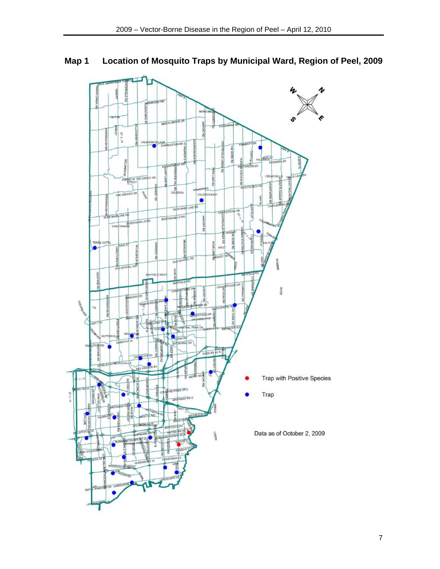# <span id="page-10-0"></span>**Map 1 Location of Mosquito Traps by Municipal Ward, Region of Peel, 2009**

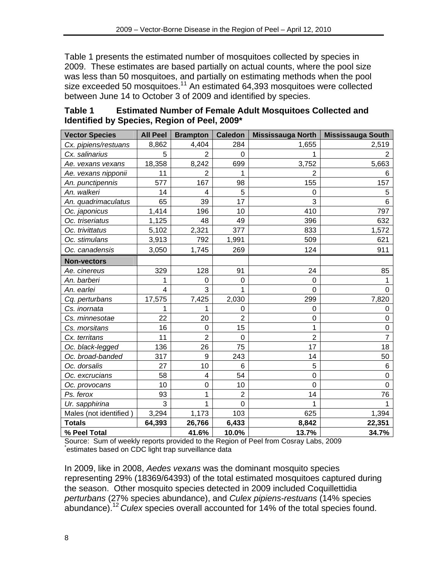<span id="page-11-0"></span>Table 1 presents the estimated number of mosquitoes collected by species in 2009. These estimates are based partially on actual counts, where the pool size was less than 50 mosquitoes, and partially on estimating methods when the pool size exceeded 50 mosquitoes.<sup>11</sup> An estimated 64,393 mosquitoes were collected between June 14 to October 3 of 2009 and identified by species.

| <b>Vector Species</b>  | <b>All Peel</b> | <b>Brampton</b> | <b>Caledon</b> | Mississauga North | <b>Mississauga South</b> |
|------------------------|-----------------|-----------------|----------------|-------------------|--------------------------|
| Cx. pipiens/restuans   | 8,862           | 4,404           | 284            | 1,655             | 2,519                    |
| Cx. salinarius         | 5               | $\overline{2}$  | $\Omega$       |                   | $\overline{2}$           |
| Ae. vexans vexans      | 18,358          | 8,242           | 699            | 3,752             | 5,663                    |
| Ae. vexans nipponii    | 11              | 2               | 1              | $\overline{2}$    | 6                        |
| An. punctipennis       | 577             | 167             | 98             | 155               | 157                      |
| An. walkeri            | 14              | 4               | 5              | $\mathbf 0$       | 5                        |
| An. quadrimaculatus    | 65              | 39              | 17             | 3                 | 6                        |
| Oc. japonicus          | 1,414           | 196             | 10             | 410               | 797                      |
| Oc. triseriatus        | 1,125           | 48              | 49             | 396               | 632                      |
| Oc. trivittatus        | 5,102           | 2,321           | 377            | 833               | 1,572                    |
| Oc. stimulans          | 3,913           | 792             | 1,991          | 509               | 621                      |
| Oc. canadensis         | 3,050           | 1,745           | 269            | 124               | 911                      |
| <b>Non-vectors</b>     |                 |                 |                |                   |                          |
| Ae. cinereus           | 329             | 128             | 91             | 24                | 85                       |
| An. barberi            | 1               | 0               | $\mathbf 0$    | 0                 | 1                        |
| An. earlei             | 4               | 3               | 1              | $\Omega$          | 0                        |
| Cq. perturbans         | 17,575          | 7,425           | 2,030          | 299               | 7,820                    |
| Cs. inornata           | 1               |                 | 0              | 0                 | 0                        |
| Cs. minnesotae         | 22              | 20              | $\overline{2}$ | $\mathbf 0$       | 0                        |
| Cs. morsitans          | 16              | $\mathbf 0$     | 15             | 1                 | $\pmb{0}$                |
| Cx. territans          | 11              | $\overline{2}$  | $\overline{0}$ | $\overline{2}$    | $\overline{7}$           |
| Oc. black-legged       | 136             | 26              | 75             | 17                | 18                       |
| Oc. broad-banded       | 317             | 9               | 243            | 14                | 50                       |
| Oc. dorsalis           | 27              | 10              | 6              | 5                 | 6                        |
| Oc. excrucians         | 58              | 4               | 54             | $\mathbf 0$       | $\mathbf 0$              |
| Oc. provocans          | 10              | 0               | 10             | 0                 | $\mathbf 0$              |
| Ps. ferox              | 93              | 1               | $\overline{2}$ | 14                | 76                       |
| Ur. sapphirina         | 3               | 1               | $\overline{0}$ | 1                 | 1                        |
| Males (not identified) | 3,294           | 1,173           | 103            | 625               | 1,394                    |
| <b>Totals</b>          | 64,393          | 26,766          | 6,433          | 8,842             | 22,351                   |
| % Peel Total           |                 | 41.6%           | 10.0%          | 13.7%             | 34.7%                    |

## **Table 1 Estimated Number of Female Adult Mosquitoes Collected and Identified by Species, Region of Peel, 2009\***

Source: Sum of weekly reports provided to the Region of Peel from Cosray Labs, 2009 \* estimates based on CDC light trap surveillance data

In 2009, like in 2008, *Aedes vexans* was the dominant mosquito species representing 29% (18369/64393) of the total estimated mosquitoes captured during the season. Other mosquito species detected in 2009 included Coquillettidia *perturbans* (27% species abundance), and *Culex pipiens-restuans* (14% species abundance).<sup>12</sup>*Culex* species overall accounted for 14% of the total species found.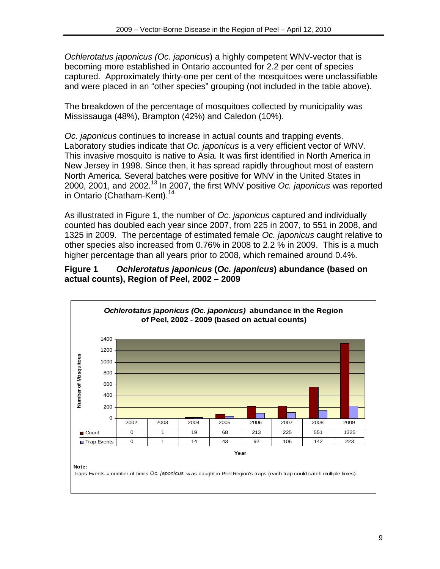<span id="page-12-0"></span>*Ochlerotatus japonicus (Oc. japonicus*) a highly competent WNV-vector that is becoming more established in Ontario accounted for 2.2 per cent of species captured. Approximately thirty-one per cent of the mosquitoes were unclassifiable and were placed in an "other species" grouping (not included in the table above).

The breakdown of the percentage of mosquitoes collected by municipality was Mississauga (48%), Brampton (42%) and Caledon (10%).

*Oc. japonicus* continues to increase in actual counts and trapping events. Laboratory studies indicate that *Oc. japonicus* is a very efficient vector of WNV. This invasive mosquito is native to Asia. It was first identified in North America in New Jersey in 1998. Since then, it has spread rapidly throughout most of eastern North America. Several batches were positive for WNV in the United States in 2000, 2001, and 2002.13 In 2007, the first WNV positive *Oc. japonicus* was reported in Ontario (Chatham-Kent).<sup>14</sup>

As illustrated in Figure 1, the number of *Oc. japonicus* captured and individually counted has doubled each year since 2007, from 225 in 2007, to 551 in 2008, and 1325 in 2009. The percentage of estimated female *Oc. japonicus* caught relative to other species also increased from 0.76% in 2008 to 2.2 % in 2009. This is a much higher percentage than all years prior to 2008, which remained around 0.4%.

#### **Figure 1** *Ochlerotatus japonicus* **(***Oc. japonicus***) abundance (based on actual counts), Region of Peel, 2002 – 2009**

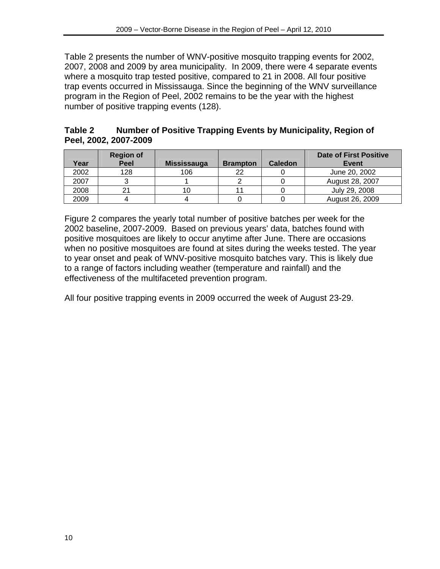<span id="page-13-0"></span>Table 2 presents the number of WNV-positive mosquito trapping events for 2002, 2007, 2008 and 2009 by area municipality. In 2009, there were 4 separate events where a mosquito trap tested positive, compared to 21 in 2008. All four positive trap events occurred in Mississauga. Since the beginning of the WNV surveillance program in the Region of Peel, 2002 remains to be the year with the highest number of positive trapping events (128).

| Table 2               | Number of Positive Trapping Events by Municipality, Region of |  |  |
|-----------------------|---------------------------------------------------------------|--|--|
| Peel, 2002, 2007-2009 |                                                               |  |  |

| Year | <b>Region of</b><br>Peel | <b>Mississauga</b> | <b>Brampton</b> | <b>Caledon</b> | <b>Date of First Positive</b><br>Event |
|------|--------------------------|--------------------|-----------------|----------------|----------------------------------------|
| 2002 | 128                      | 106                | າາ              |                | June 20, 2002                          |
| 2007 |                          |                    |                 |                | August 28, 2007                        |
| 2008 |                          |                    |                 |                | July 29, 2008                          |
| 2009 |                          |                    |                 |                | August 26, 2009                        |

Figure 2 compares the yearly total number of positive batches per week for the 2002 baseline, 2007-2009. Based on previous years' data, batches found with positive mosquitoes are likely to occur anytime after June. There are occasions when no positive mosquitoes are found at sites during the weeks tested. The year to year onset and peak of WNV-positive mosquito batches vary. This is likely due to a range of factors including weather (temperature and rainfall) and the effectiveness of the multifaceted prevention program.

All four positive trapping events in 2009 occurred the week of August 23-29.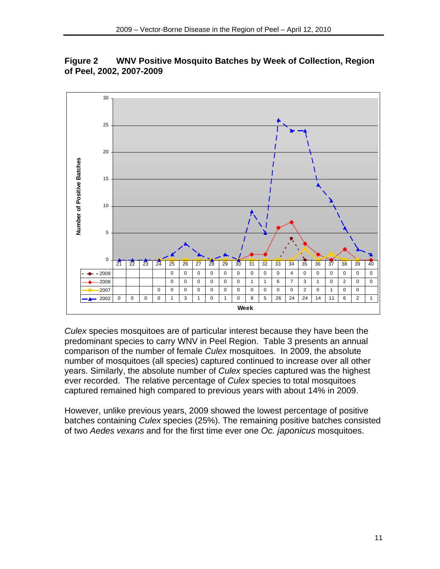

<span id="page-14-0"></span>**Figure 2 WNV Positive Mosquito Batches by Week of Collection, Region of Peel, 2002, 2007-2009** 

*Culex* species mosquitoes are of particular interest because they have been the predominant species to carry WNV in Peel Region. Table 3 presents an annual comparison of the number of female *Culex* mosquitoes. In 2009, the absolute number of mosquitoes (all species) captured continued to increase over all other years. Similarly, the absolute number of *Culex* species captured was the highest ever recorded. The relative percentage of *Culex* species to total mosquitoes captured remained high compared to previous years with about 14% in 2009.

However, unlike previous years, 2009 showed the lowest percentage of positive batches containing *Culex* species (25%). The remaining positive batches consisted of two *Aedes vexans* and for the first time ever one *Oc. japonicus* mosquitoes.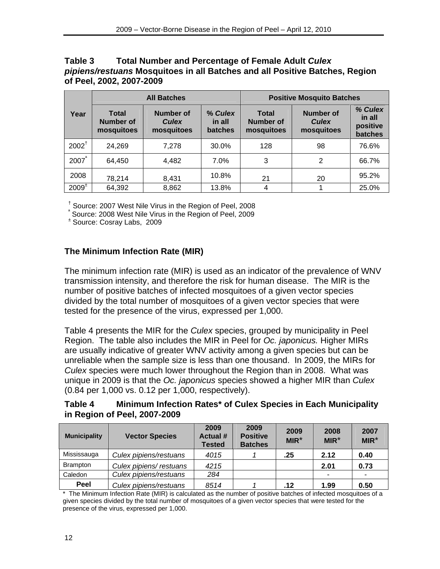### <span id="page-15-0"></span>**Table 3 Total Number and Percentage of Female Adult** *Culex pipiens/restuans* **Mosquitoes in all Batches and all Positive Batches, Region of Peel, 2002, 2007-2009**

|                   |                                         | <b>All Batches</b>                      |                              | <b>Positive Mosquito Batches</b>               |                                                |                                          |  |
|-------------------|-----------------------------------------|-----------------------------------------|------------------------------|------------------------------------------------|------------------------------------------------|------------------------------------------|--|
| Year              | <b>Total</b><br>Number of<br>mosquitoes | Number of<br><b>Culex</b><br>mosquitoes | % Culex<br>in all<br>batches | <b>Total</b><br><b>Number of</b><br>mosquitoes | <b>Number of</b><br><b>Culex</b><br>mosquitoes | % Culex<br>in all<br>positive<br>batches |  |
| $2002^{\dagger}$  | 24,269                                  | 7.278                                   | 30.0%                        | 128                                            | 98                                             | 76.6%                                    |  |
| 2007              | 64,450                                  | 4.482                                   | 7.0%                         | 3                                              | 2                                              | 66.7%                                    |  |
| 2008              | 78,214                                  | 8,431                                   | 10.8%                        | 21                                             | 20                                             | 95.2%                                    |  |
| $2009^{\text{+}}$ | 64,392                                  | 8,862                                   | 13.8%                        | 4                                              |                                                | 25.0%                                    |  |

† Source: 2007 West Nile Virus in the Region of Peel, 2008

ª Source: 2008 West Nile Virus in the Region of Peel, 2009

± Source: Cosray Labs, 2009

### **The Minimum Infection Rate (MIR)**

The minimum infection rate (MIR) is used as an indicator of the prevalence of WNV transmission intensity, and therefore the risk for human disease. The MIR is the number of positive batches of infected mosquitoes of a given vector species divided by the total number of mosquitoes of a given vector species that were tested for the presence of the virus, expressed per 1,000.

Table 4 presents the MIR for the *Culex* species, grouped by municipality in Peel Region. The table also includes the MIR in Peel for *Oc. japonicus.* Higher MIRs are usually indicative of greater WNV activity among a given species but can be unreliable when the sample size is less than one thousand. In 2009, the MIRs for *Culex* species were much lower throughout the Region than in 2008. What was unique in 2009 is that the *Oc. japonicus* species showed a higher MIR than *Culex* (0.84 per 1,000 vs. 0.12 per 1,000, respectively).

#### **Table 4 Minimum Infection Rates\* of Culex Species in Each Municipality in Region of Peel, 2007-2009**

| <b>Municipality</b> | <b>Vector Species</b>  | 2009<br><b>Actual #</b><br><b>Tested</b> | 2009<br><b>Positive</b><br><b>Batches</b> | 2009<br>$MIR^*$ | 2008<br>$MIR^*$ | 2007<br>$MIR^*$ |
|---------------------|------------------------|------------------------------------------|-------------------------------------------|-----------------|-----------------|-----------------|
| Mississauga         | Culex pipiens/restuans | 4015                                     |                                           | .25             | 2.12            | 0.40            |
| <b>Brampton</b>     | Culex pipiens/restuans | 4215                                     |                                           |                 | 2.01            | 0.73            |
| Caledon             | Culex pipiens/restuans | 284                                      |                                           |                 |                 |                 |
| Peel                | Culex pipiens/restuans | 8514                                     |                                           | .12             | 1.99            | 0.50            |

\* The Minimum Infection Rate (MIR) is calculated as the number of positive batches of infected mosquitoes of a given species divided by the total number of mosquitoes of a given vector species that were tested for the presence of the virus, expressed per 1,000.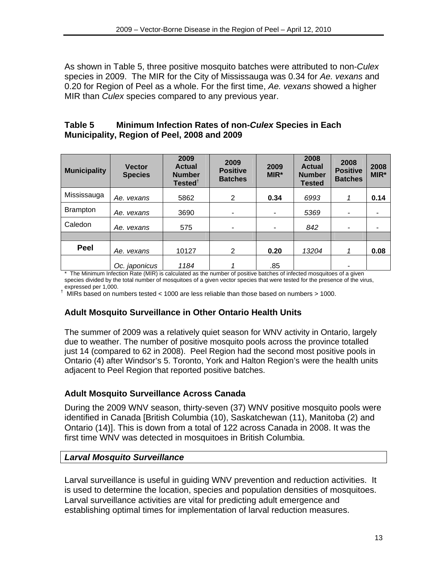<span id="page-16-0"></span>As shown in Table 5, three positive mosquito batches were attributed to non-*Culex* species in 2009. The MIR for the City of Mississauga was 0.34 for *Ae. vexans* and 0.20 for Region of Peel as a whole. For the first time, *Ae. vexans* showed a higher MIR than *Culex* species compared to any previous year.

## **Table 5 Minimum Infection Rates of non-***Culex* **Species in Each Municipality, Region of Peel, 2008 and 2009**

| <b>Municipality</b> | <b>Vector</b><br><b>Species</b> | 2009<br><b>Actual</b><br><b>Number</b><br>Tested $†$ | 2009<br><b>Positive</b><br><b>Batches</b> | 2009<br>MIR* | 2008<br><b>Actual</b><br><b>Number</b><br><b>Tested</b> | 2008<br><b>Positive</b><br><b>Batches</b> | 2008<br>MIR* |
|---------------------|---------------------------------|------------------------------------------------------|-------------------------------------------|--------------|---------------------------------------------------------|-------------------------------------------|--------------|
| Mississauga         | Ae. vexans                      | 5862                                                 | 2                                         | 0.34         | 6993                                                    |                                           | 0.14         |
| <b>Brampton</b>     | Ae. vexans                      | 3690                                                 | ۰                                         | ٠            | 5369                                                    | ۰                                         |              |
| Caledon             | Ae. vexans                      | 575                                                  | ٠                                         | ٠            | 842                                                     | $\overline{\phantom{a}}$                  |              |
|                     |                                 |                                                      |                                           |              |                                                         |                                           |              |
| Peel                | Ae. vexans                      | 10127                                                | 2                                         | 0.20         | 13204                                                   | 1                                         | 0.08         |
|                     | Oc. japonicus                   | 1184                                                 |                                           | .85          |                                                         |                                           |              |

\* The Minimum Infection Rate (MIR) is calculated as the number of positive batches of infected mosquitoes of a given species divided by the total number of mosquitoes of a given vector species that were tested for the presence of the virus, expressed per 1,000.

† MIRs based on numbers tested < 1000 are less reliable than those based on numbers > 1000.

# **Adult Mosquito Surveillance in Other Ontario Health Units**

The summer of 2009 was a relatively quiet season for WNV activity in Ontario, largely due to weather. The number of positive mosquito pools across the province totalled just 14 (compared to 62 in 2008). Peel Region had the second most positive pools in Ontario (4) after Windsor's 5. Toronto, York and Halton Region's were the health units adjacent to Peel Region that reported positive batches.

#### **Adult Mosquito Surveillance Across Canada**

During the 2009 WNV season, thirty-seven (37) WNV positive mosquito pools were identified in Canada [British Columbia (10), Saskatchewan (11), Manitoba (2) and Ontario (14)]. This is down from a total of 122 across Canada in 2008. It was the first time WNV was detected in mosquitoes in British Columbia.

#### *Larval Mosquito Surveillance*

Larval surveillance is useful in guiding WNV prevention and reduction activities. It is used to determine the location, species and population densities of mosquitoes. Larval surveillance activities are vital for predicting adult emergence and establishing optimal times for implementation of larval reduction measures.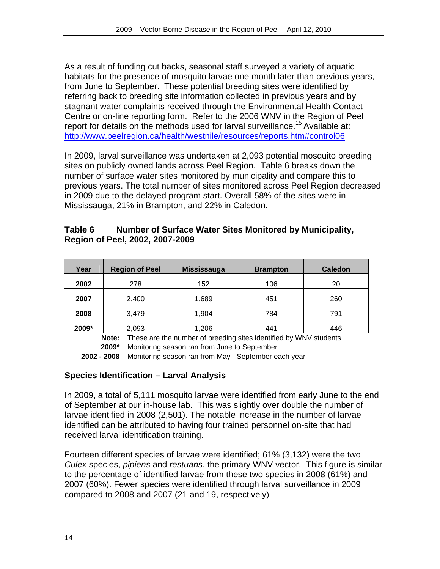<span id="page-17-0"></span>As a result of funding cut backs, seasonal staff surveyed a variety of aquatic habitats for the presence of mosquito larvae one month later than previous years, from June to September. These potential breeding sites were identified by referring back to breeding site information collected in previous years and by stagnant water complaints received through the Environmental Health Contact Centre or on-line reporting form. Refer to the 2006 WNV in the Region of Peel report for details on the methods used for larval surveillance.<sup>15</sup> Available at: <http://www.peelregion.ca/health/westnile/resources/reports.htm#control06>

In 2009, larval surveillance was undertaken at 2,093 potential mosquito breeding sites on publicly owned lands across Peel Region. Table 6 breaks down the number of surface water sites monitored by municipality and compare this to previous years. The total number of sites monitored across Peel Region decreased in 2009 due to the delayed program start. Overall 58% of the sites were in Mississauga, 21% in Brampton, and 22% in Caledon.

### **Table 6 Number of Surface Water Sites Monitored by Municipality, Region of Peel, 2002, 2007-2009**

| Year  | <b>Region of Peel</b> | <b>Mississauga</b> | <b>Brampton</b> | <b>Caledon</b> |
|-------|-----------------------|--------------------|-----------------|----------------|
| 2002  | 278                   | 152                | 106             | 20             |
| 2007  | 2,400                 | 1,689              | 451             | 260            |
| 2008  | 3,479                 | 1,904              | 784             | 791            |
| 2009* | 2,093                 | 1,206              | 441             | 446            |

**Note:** These are the number of breeding sites identified by WNV students **2009\*** Monitoring season ran from June to September

**2002 - 2008** Monitoring season ran from May - September each year

# **Species Identification – Larval Analysis**

In 2009, a total of 5,111 mosquito larvae were identified from early June to the end of September at our in-house lab. This was slightly over double the number of larvae identified in 2008 (2,501). The notable increase in the number of larvae identified can be attributed to having four trained personnel on-site that had received larval identification training.

Fourteen different species of larvae were identified; 61% (3,132) were the two *Culex* species, *pipiens* and *restuans*, the primary WNV vector. This figure is similar to the percentage of identified larvae from these two species in 2008 (61%) and 2007 (60%). Fewer species were identified through larval surveillance in 2009 compared to 2008 and 2007 (21 and 19, respectively)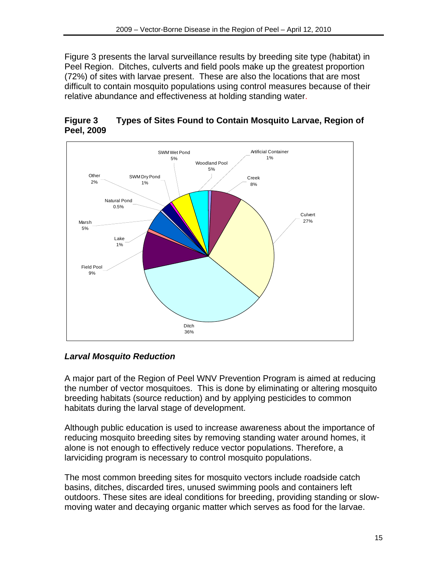<span id="page-18-0"></span>Figure 3 presents the larval surveillance results by breeding site type (habitat) in Peel Region. Ditches, culverts and field pools make up the greatest proportion (72%) of sites with larvae present. These are also the locations that are most difficult to contain mosquito populations using control measures because of their relative abundance and effectiveness at holding standing water.



# **Figure 3 Types of Sites Found to Contain Mosquito Larvae, Region of Peel, 2009**

# *Larval Mosquito Reduction*

A major part of the Region of Peel WNV Prevention Program is aimed at reducing the number of vector mosquitoes. This is done by eliminating or altering mosquito breeding habitats (source reduction) and by applying pesticides to common habitats during the larval stage of development.

Although public education is used to increase awareness about the importance of reducing mosquito breeding sites by removing standing water around homes, it alone is not enough to effectively reduce vector populations. Therefore, a larviciding program is necessary to control mosquito populations.

The most common breeding sites for mosquito vectors include roadside catch basins, ditches, discarded tires, unused swimming pools and containers left outdoors. These sites are ideal conditions for breeding, providing standing or slowmoving water and decaying organic matter which serves as food for the larvae.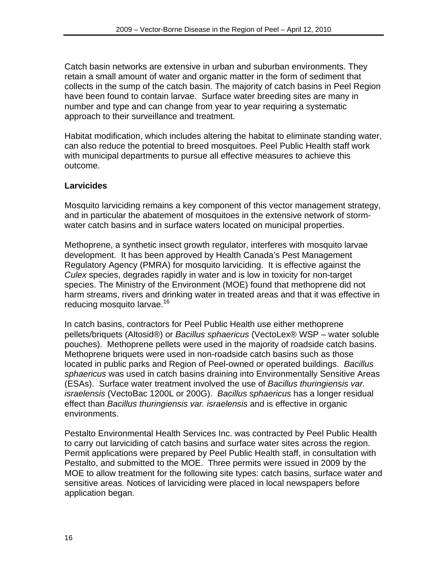Catch basin networks are extensive in urban and suburban environments. They retain a small amount of water and organic matter in the form of sediment that collects in the sump of the catch basin. The majority of catch basins in Peel Region have been found to contain larvae. Surface water breeding sites are many in number and type and can change from year to year requiring a systematic approach to their surveillance and treatment.

Habitat modification, which includes altering the habitat to eliminate standing water, can also reduce the potential to breed mosquitoes. Peel Public Health staff work with municipal departments to pursue all effective measures to achieve this outcome.

# **Larvicides**

Mosquito larviciding remains a key component of this vector management strategy, and in particular the abatement of mosquitoes in the extensive network of stormwater catch basins and in surface waters located on municipal properties.

Methoprene, a synthetic insect growth regulator, interferes with mosquito larvae development. It has been approved by Health Canada's Pest Management Regulatory Agency (PMRA) for mosquito larviciding. It is effective against the *Culex* species, degrades rapidly in water and is low in toxicity for non-target species. The Ministry of the Environment (MOE) found that methoprene did not harm streams, rivers and drinking water in treated areas and that it was effective in reducing mosquito larvae.<sup>16</sup>

In catch basins, contractors for Peel Public Health use either methoprene pellets/briquets (Altosid®) or *Bacillus sphaericus* (VectoLex® WSP – water soluble pouches). Methoprene pellets were used in the majority of roadside catch basins. Methoprene briquets were used in non-roadside catch basins such as those located in public parks and Region of Peel-owned or operated buildings. *Bacillus sphaericus* was used in catch basins draining into Environmentally Sensitive Areas (ESAs). Surface water treatment involved the use of *Bacillus thuringiensis var. israelensis* (VectoBac 1200L or 200G). *Bacillus sphaericus* has a longer residual effect than *Bacillus thuringiensis var. israelensis* and is effective in organic environments.

Pestalto Environmental Health Services Inc. was contracted by Peel Public Health to carry out larviciding of catch basins and surface water sites across the region. Permit applications were prepared by Peel Public Health staff, in consultation with Pestalto, and submitted to the MOE. Three permits were issued in 2009 by the MOE to allow treatment for the following site types: catch basins, surface water and sensitive areas. Notices of larviciding were placed in local newspapers before application began.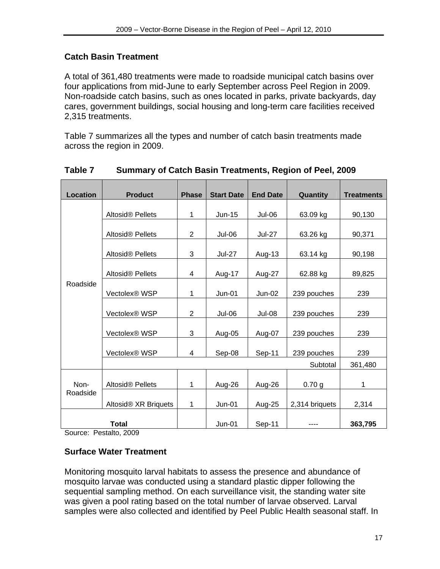# <span id="page-20-0"></span>**Catch Basin Treatment**

A total of 361,480 treatments were made to roadside municipal catch basins over four applications from mid-June to early September across Peel Region in 2009. Non-roadside catch basins, such as ones located in parks, private backyards, day cares, government buildings, social housing and long-term care facilities received 2,315 treatments.

Table 7 summarizes all the types and number of catch basin treatments made across the region in 2009.

| <b>Location</b>  | <b>Product</b>                   | <b>Phase</b> | <b>Start Date</b> | <b>End Date</b> | Quantity       | <b>Treatments</b> |
|------------------|----------------------------------|--------------|-------------------|-----------------|----------------|-------------------|
|                  |                                  |              |                   |                 |                |                   |
|                  | Altosid® Pellets                 | 1            | Jun-15            | Jul-06          | 63.09 kg       | 90,130            |
|                  |                                  |              |                   |                 |                |                   |
|                  | Altosid <sup>®</sup> Pellets     | 2            | Jul-06            | <b>Jul-27</b>   | 63.26 kg       | 90,371            |
|                  |                                  |              |                   |                 |                |                   |
|                  | Altosid <sup>®</sup> Pellets     | 3            | <b>Jul-27</b>     | Aug-13          | 63.14 kg       | 90,198            |
|                  |                                  |              |                   |                 |                |                   |
|                  | Altosid <sup>®</sup> Pellets     | 4            | Aug-17            | Aug-27          | 62.88 kg       | 89,825            |
| Roadside         |                                  |              |                   |                 |                |                   |
|                  | Vectolex® WSP                    | 1            | $Jun-01$          | $Jun-02$        | 239 pouches    | 239               |
|                  |                                  |              |                   |                 |                |                   |
|                  | Vectolex <sup>®</sup> WSP        | 2            | <b>Jul-06</b>     | <b>Jul-08</b>   | 239 pouches    | 239               |
|                  |                                  |              |                   |                 |                |                   |
|                  | Vectolex <sup>®</sup> WSP        | 3            | Aug-05            | Aug-07          | 239 pouches    | 239               |
|                  |                                  |              |                   |                 |                |                   |
|                  | Vectolex <sup>®</sup> WSP        | 4            | Sep-08            | Sep-11          | 239 pouches    | 239               |
|                  |                                  |              |                   |                 | Subtotal       | 361,480           |
|                  |                                  |              |                   |                 |                |                   |
| Non-<br>Roadside | Altosid <sup>®</sup> Pellets     | 1            | Aug-26            | Aug-26          | 0.70 g         | 1                 |
|                  |                                  |              |                   |                 |                |                   |
|                  | Altosid <sup>®</sup> XR Briquets | 1            | $Jun-01$          | Aug-25          | 2,314 briquets | 2,314             |
|                  |                                  |              |                   |                 |                |                   |
|                  | Total                            |              | $Jun-01$          | Sep-11          |                | 363,795           |

# **Table 7 Summary of Catch Basin Treatments, Region of Peel, 2009**

Source: Pestalto, 2009

# **Surface Water Treatment**

Monitoring mosquito larval habitats to assess the presence and abundance of mosquito larvae was conducted using a standard plastic dipper following the sequential sampling method. On each surveillance visit, the standing water site was given a pool rating based on the total number of larvae observed. Larval samples were also collected and identified by Peel Public Health seasonal staff. In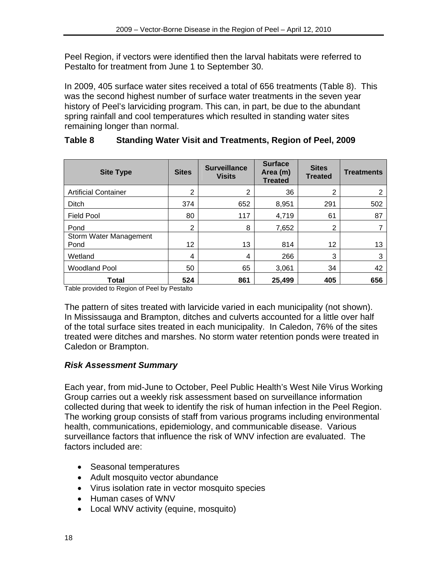<span id="page-21-0"></span>Peel Region, if vectors were identified then the larval habitats were referred to Pestalto for treatment from June 1 to September 30.

In 2009, 405 surface water sites received a total of 656 treatments (Table 8). This was the second highest number of surface water treatments in the seven year history of Peel's larviciding program. This can, in part, be due to the abundant spring rainfall and cool temperatures which resulted in standing water sites remaining longer than normal.

| <b>Site Type</b>               | <b>Sites</b>   | <b>Surveillance</b><br><b>Visits</b> | <b>Surface</b><br>Area (m)<br><b>Treated</b> | <b>Sites</b><br><b>Treated</b> | <b>Treatments</b> |
|--------------------------------|----------------|--------------------------------------|----------------------------------------------|--------------------------------|-------------------|
| <b>Artificial Container</b>    | $\overline{2}$ | 2                                    | 36                                           | 2                              | 2                 |
| Ditch                          | 374            | 652                                  | 8,951                                        | 291                            | 502               |
| <b>Field Pool</b>              | 80             | 117                                  | 4,719                                        | 61                             | 87                |
| Pond                           | $\overline{2}$ | 8                                    | 7,652                                        | 2                              |                   |
| Storm Water Management<br>Pond | 12             | 13                                   | 814                                          | 12                             | 13                |
| Wetland                        | 4              | 4                                    | 266                                          | 3                              | 3                 |
| <b>Woodland Pool</b>           | 50             | 65                                   | 3,061                                        | 34                             | 42                |
| <b>Total</b>                   | 524            | 861                                  | 25,499                                       | 405                            | 656               |

# **Table 8 Standing Water Visit and Treatments, Region of Peel, 2009**

Table provided to Region of Peel by Pestalto

The pattern of sites treated with larvicide varied in each municipality (not shown). In Mississauga and Brampton, ditches and culverts accounted for a little over half of the total surface sites treated in each municipality. In Caledon, 76% of the sites treated were ditches and marshes. No storm water retention ponds were treated in Caledon or Brampton.

# *Risk Assessment Summary*

Each year, from mid-June to October, Peel Public Health's West Nile Virus Working Group carries out a weekly risk assessment based on surveillance information collected during that week to identify the risk of human infection in the Peel Region. The working group consists of staff from various programs including environmental health, communications, epidemiology, and communicable disease. Various surveillance factors that influence the risk of WNV infection are evaluated. The factors included are:

- Seasonal temperatures
- Adult mosquito vector abundance
- Virus isolation rate in vector mosquito species
- Human cases of WNV
- Local WNV activity (equine, mosquito)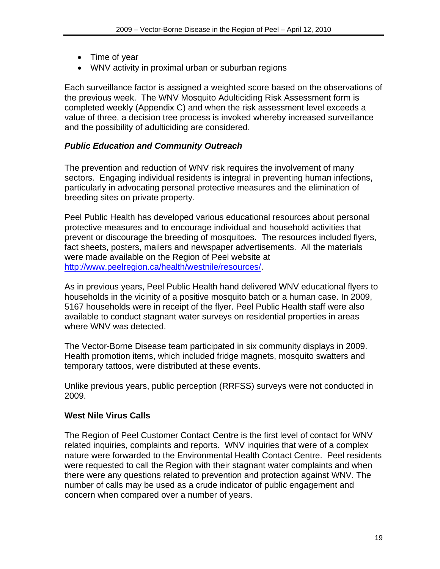- <span id="page-22-0"></span>• Time of year
- WNV activity in proximal urban or suburban regions

Each surveillance factor is assigned a weighted score based on the observations of the previous week. The WNV Mosquito Adulticiding Risk Assessment form is completed weekly (Appendix C) and when the risk assessment level exceeds a value of three, a decision tree process is invoked whereby increased surveillance and the possibility of adulticiding are considered.

### *Public Education and Community Outreach*

The prevention and reduction of WNV risk requires the involvement of many sectors. Engaging individual residents is integral in preventing human infections, particularly in advocating personal protective measures and the elimination of breeding sites on private property.

Peel Public Health has developed various educational resources about personal protective measures and to encourage individual and household activities that prevent or discourage the breeding of mosquitoes. The resources included flyers, fact sheets, posters, mailers and newspaper advertisements. All the materials were made available on the Region of Peel website at <http://www.peelregion.ca/health/westnile/resources/>.

As in previous years, Peel Public Health hand delivered WNV educational flyers to households in the vicinity of a positive mosquito batch or a human case. In 2009, 5167 households were in receipt of the flyer. Peel Public Health staff were also available to conduct stagnant water surveys on residential properties in areas where WNV was detected.

The Vector-Borne Disease team participated in six community displays in 2009. Health promotion items, which included fridge magnets, mosquito swatters and temporary tattoos, were distributed at these events.

Unlike previous years, public perception (RRFSS) surveys were not conducted in 2009.

#### **West Nile Virus Calls**

The Region of Peel Customer Contact Centre is the first level of contact for WNV related inquiries, complaints and reports. WNV inquiries that were of a complex nature were forwarded to the Environmental Health Contact Centre. Peel residents were requested to call the Region with their stagnant water complaints and when there were any questions related to prevention and protection against WNV. The number of calls may be used as a crude indicator of public engagement and concern when compared over a number of years.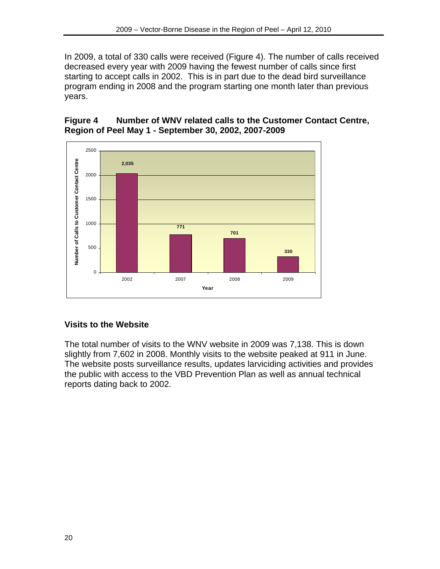<span id="page-23-0"></span>In 2009, a total of 330 calls were received (Figure 4). The number of calls received decreased every year with 2009 having the fewest number of calls since first starting to accept calls in 2002. This is in part due to the dead bird surveillance program ending in 2008 and the program starting one month later than previous years.

# **Figure 4 Number of WNV related calls to the Customer Contact Centre, Region of Peel May 1 - September 30, 2002, 2007-2009**



# **Visits to the Website**

The total number of visits to the WNV website in 2009 was 7,138. This is down slightly from 7,602 in 2008. Monthly visits to the website peaked at 911 in June. The website posts surveillance results, updates larviciding activities and provides the public with access to the VBD Prevention Plan as well as annual technical reports dating back to 2002.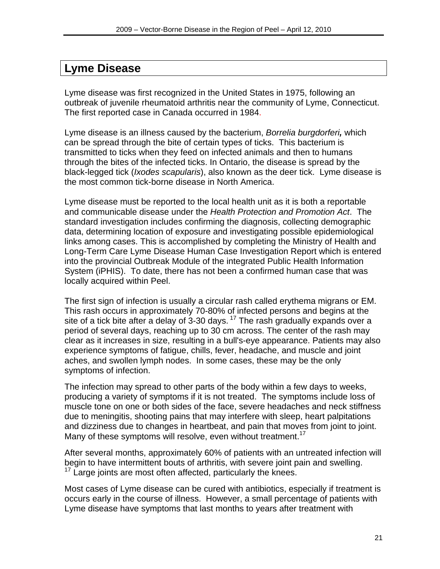# <span id="page-24-0"></span>**Lyme Disease**

Lyme disease was first recognized in the United States in 1975, following an outbreak of juvenile rheumatoid arthritis near the community of Lyme, Connecticut. The first reported case in Canada occurred in 1984.

Lyme disease is an illness caused by the bacterium, *Borrelia burgdorferi,* which can be spread through the bite of certain types of ticks. This bacterium is transmitted to ticks when they feed on infected animals and then to humans through the bites of the infected ticks. In Ontario, the disease is spread by the black-legged tick (*Ixodes scapularis*), also known as the deer tick. Lyme disease is the most common tick-borne disease in North America.

Lyme disease must be reported to the local health unit as it is both a reportable and communicable disease under the *Health Protection and Promotion Act*. The standard investigation includes confirming the diagnosis, collecting demographic data, determining location of exposure and investigating possible epidemiological links among cases. This is accomplished by completing the Ministry of Health and Long-Term Care Lyme Disease Human Case Investigation Report which is entered into the provincial Outbreak Module of the integrated Public Health Information System (iPHIS). To date, there has not been a confirmed human case that was locally acquired within Peel.

The first sign of infection is usually a circular rash called erythema migrans or EM. This rash occurs in approximately 70-80% of infected persons and begins at the site of a tick bite after a delay of 3-30 days.<sup>17</sup> The rash gradually expands over a period of several days, reaching up to 30 cm across. The center of the rash may clear as it increases in size, resulting in a bull's-eye appearance. Patients may also experience symptoms of fatigue, chills, fever, headache, and muscle and joint aches, and swollen lymph nodes. In some cases, these may be the only symptoms of infection.

The infection may spread to other parts of the body within a few days to weeks, producing a variety of symptoms if it is not treated. The symptoms include loss of muscle tone on one or both sides of the face, severe headaches and neck stiffness due to meningitis, shooting pains that may interfere with sleep, heart palpitations and dizziness due to changes in heartbeat, and pain that moves from joint to joint. Many of these symptoms will resolve, even without treatment.<sup>17</sup>

After several months, approximately 60% of patients with an untreated infection will begin to have intermittent bouts of arthritis, with severe joint pain and swelling.  $17$  Large joints are most often affected, particularly the knees.

Most cases of Lyme disease can be cured with antibiotics, especially if treatment is occurs early in the course of illness. However, a small percentage of patients with Lyme disease have symptoms that last months to years after treatment with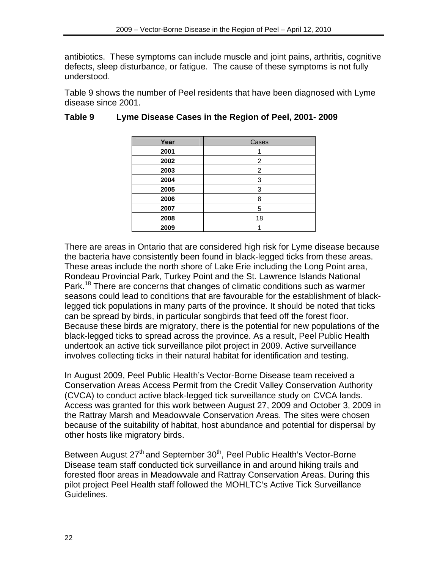<span id="page-25-0"></span>antibiotics. These symptoms can include muscle and joint pains, arthritis, cognitive defects, sleep disturbance, or fatigue. The cause of these symptoms is not fully understood.

Table 9 shows the number of Peel residents that have been diagnosed with Lyme disease since 2001.

| Year | Cases |
|------|-------|
| 2001 |       |
| 2002 | 2     |
| 2003 | 2     |
| 2004 | 3     |
| 2005 | 3     |
| 2006 | 8     |
| 2007 | 5     |
| 2008 | 18    |
| 2009 |       |

# **Table 9 Lyme Disease Cases in the Region of Peel, 2001- 2009**

There are areas in Ontario that are considered high risk for Lyme disease because the bacteria have consistently been found in black-legged ticks from these areas. These areas include the north shore of Lake Erie including the Long Point area, Rondeau Provincial Park, Turkey Point and the St. Lawrence Islands National Park.<sup>18</sup> There are concerns that changes of climatic conditions such as warmer seasons could lead to conditions that are favourable for the establishment of blacklegged tick populations in many parts of the province. It should be noted that ticks can be spread by birds, in particular songbirds that feed off the forest floor. Because these birds are migratory, there is the potential for new populations of the black-legged ticks to spread across the province. As a result, Peel Public Health undertook an active tick surveillance pilot project in 2009. Active surveillance involves collecting ticks in their natural habitat for identification and testing.

In August 2009, Peel Public Health's Vector-Borne Disease team received a Conservation Areas Access Permit from the Credit Valley Conservation Authority (CVCA) to conduct active black-legged tick surveillance study on CVCA lands. Access was granted for this work between August 27, 2009 and October 3, 2009 in the Rattray Marsh and Meadowvale Conservation Areas. The sites were chosen because of the suitability of habitat, host abundance and potential for dispersal by other hosts like migratory birds.

Between August 27<sup>th</sup> and September 30<sup>th</sup>, Peel Public Health's Vector-Borne Disease team staff conducted tick surveillance in and around hiking trails and forested floor areas in Meadowvale and Rattray Conservation Areas. During this pilot project Peel Health staff followed the MOHLTC's Active Tick Surveillance Guidelines.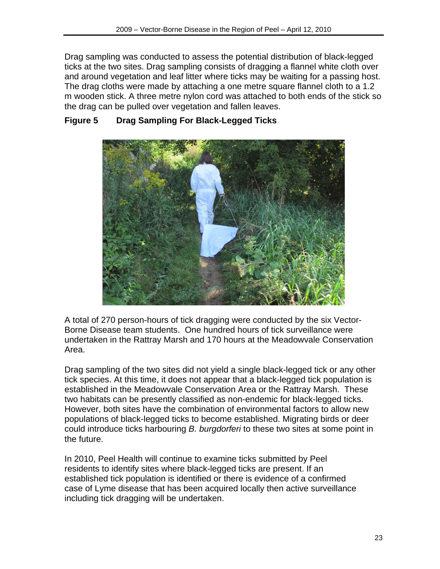<span id="page-26-0"></span>Drag sampling was conducted to assess the potential distribution of black-legged ticks at the two sites. Drag sampling consists of dragging a flannel white cloth over and around vegetation and leaf litter where ticks may be waiting for a passing host. The drag cloths were made by attaching a one metre square flannel cloth to a 1.2 m wooden stick. A three metre nylon cord was attached to both ends of the stick so the drag can be pulled over vegetation and fallen leaves.



# **Figure 5 Drag Sampling For Black-Legged Ticks**

A total of 270 person-hours of tick dragging were conducted by the six Vector-Borne Disease team students. One hundred hours of tick surveillance were undertaken in the Rattray Marsh and 170 hours at the Meadowvale Conservation Area.

Drag sampling of the two sites did not yield a single black-legged tick or any other tick species. At this time, it does not appear that a black-legged tick population is established in the Meadowvale Conservation Area or the Rattray Marsh. These two habitats can be presently classified as non-endemic for black-legged ticks. However, both sites have the combination of environmental factors to allow new populations of black-legged ticks to become established. Migrating birds or deer could introduce ticks harbouring *B. burgdorferi* to these two sites at some point in the future.

In 2010, Peel Health will continue to examine ticks submitted by Peel residents to identify sites where black-legged ticks are present. If an established tick population is identified or there is evidence of a confirmed case of Lyme disease that has been acquired locally then active surveillance including tick dragging will be undertaken.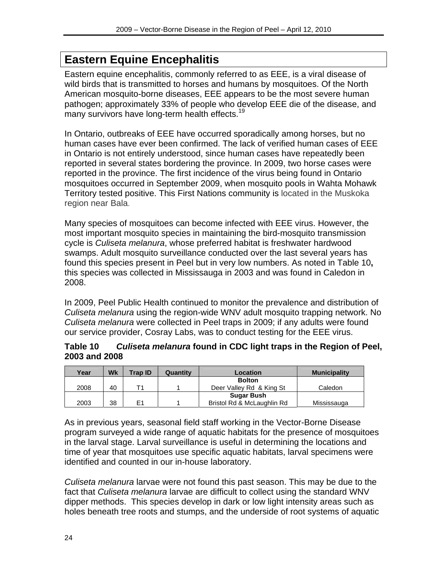# <span id="page-27-0"></span>**Eastern Equine Encephalitis**

Eastern equine encephalitis, commonly referred to as EEE, is a viral disease of wild birds that is transmitted to horses and humans by mosquitoes. Of the North American mosquito-borne diseases, EEE appears to be the most severe human pathogen; approximately 33% of people who develop EEE die of the disease, and many survivors have long-term health effects.<sup>19</sup>

In Ontario, outbreaks of EEE have occurred sporadically among horses, but no human cases have ever been confirmed. The lack of verified human cases of EEE in Ontario is not entirely understood, since human cases have repeatedly been reported in several states bordering the province. In 2009, two horse cases were reported in the province. The first incidence of the virus being found in Ontario mosquitoes occurred in September 2009, when mosquito pools in Wahta Mohawk Territory tested positive. This First Nations community is located in the Muskoka region near Bala.

Many species of mosquitoes can become infected with EEE virus. However, the most important mosquito species in maintaining the bird-mosquito transmission cycle is *Culiseta melanura*, whose preferred habitat is freshwater hardwood swamps. Adult mosquito surveillance conducted over the last several years has found this species present in Peel but in very low numbers. As noted in Table 10**,** this species was collected in Mississauga in 2003 and was found in Caledon in 2008.

In 2009, Peel Public Health continued to monitor the prevalence and distribution of *Culiseta melanura* using the region-wide WNV adult mosquito trapping network. No *Culiseta melanura* were collected in Peel traps in 2009; if any adults were found our service provider, Cosray Labs, was to conduct testing for the EEE virus.

**Table 10** *Culiseta melanura* **found in CDC light traps in the Region of Peel, 2003 and 2008** 

| Year | Wk | <b>Trap ID</b> | Quantity | Location                   | <b>Municipality</b> |
|------|----|----------------|----------|----------------------------|---------------------|
|      |    |                |          | <b>Bolton</b>              |                     |
| 2008 | 40 | T1             |          | Deer Valley Rd & King St   | Caledon             |
|      |    |                |          | <b>Sugar Bush</b>          |                     |
| 2003 | 38 | E <sub>1</sub> |          | Bristol Rd & McLaughlin Rd | Mississauga         |

As in previous years, seasonal field staff working in the Vector-Borne Disease program surveyed a wide range of aquatic habitats for the presence of mosquitoes in the larval stage. Larval surveillance is useful in determining the locations and time of year that mosquitoes use specific aquatic habitats, larval specimens were identified and counted in our in-house laboratory.

*Culiseta melanura* larvae were not found this past season. This may be due to the fact that *Culiseta melanura* larvae are difficult to collect using the standard WNV dipper methods. This species develop in dark or low light intensity areas such as holes beneath tree roots and stumps, and the underside of root systems of aquatic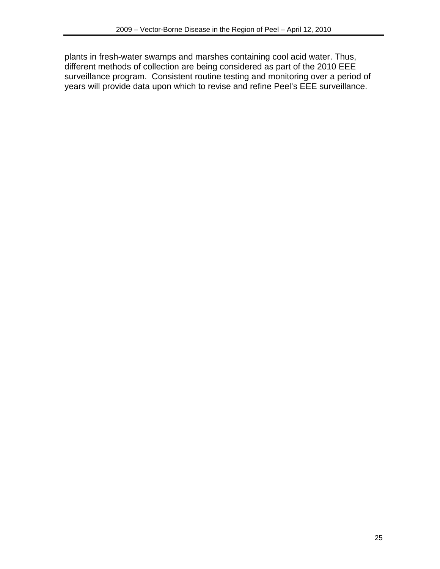plants in fresh-water swamps and marshes containing cool acid water. Thus, different methods of collection are being considered as part of the 2010 EEE surveillance program. Consistent routine testing and monitoring over a period of years will provide data upon which to revise and refine Peel's EEE surveillance.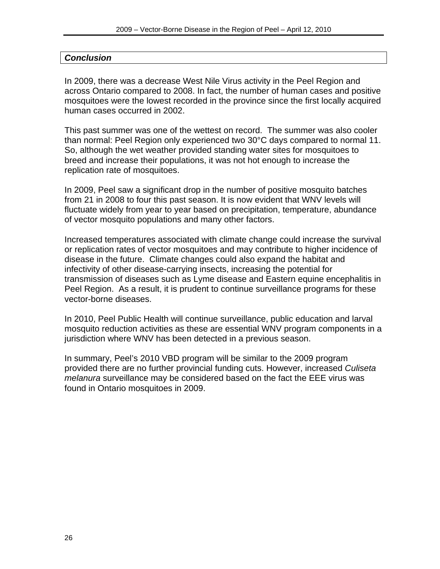## <span id="page-29-0"></span>*Conclusion*

In 2009, there was a decrease West Nile Virus activity in the Peel Region and across Ontario compared to 2008. In fact, the number of human cases and positive mosquitoes were the lowest recorded in the province since the first locally acquired human cases occurred in 2002.

This past summer was one of the wettest on record. The summer was also cooler than normal: Peel Region only experienced two 30°C days compared to normal 11. So, although the wet weather provided standing water sites for mosquitoes to breed and increase their populations, it was not hot enough to increase the replication rate of mosquitoes.

In 2009, Peel saw a significant drop in the number of positive mosquito batches from 21 in 2008 to four this past season. It is now evident that WNV levels will fluctuate widely from year to year based on precipitation, temperature, abundance of vector mosquito populations and many other factors.

Increased temperatures associated with climate change could increase the survival or replication rates of vector mosquitoes and may contribute to higher incidence of disease in the future. Climate changes could also expand the habitat and infectivity of other disease-carrying insects, increasing the potential for transmission of diseases such as Lyme disease and Eastern equine encephalitis in Peel Region. As a result, it is prudent to continue surveillance programs for these vector-borne diseases.

In 2010, Peel Public Health will continue surveillance, public education and larval mosquito reduction activities as these are essential WNV program components in a jurisdiction where WNV has been detected in a previous season.

In summary, Peel's 2010 VBD program will be similar to the 2009 program provided there are no further provincial funding cuts. However, increased *Culiseta melanura* surveillance may be considered based on the fact the EEE virus was found in Ontario mosquitoes in 2009.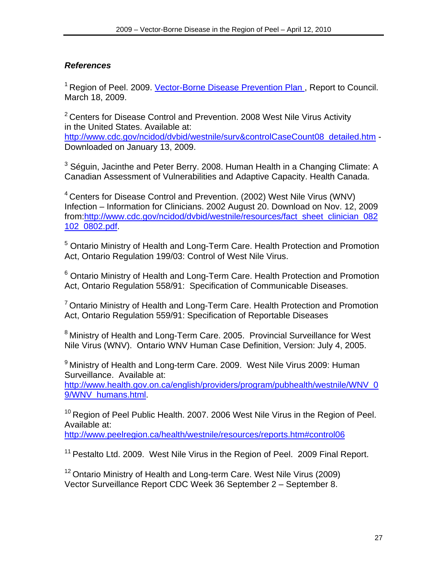# <span id="page-30-0"></span>*References*

<sup>1</sup> Region of Peel. 2009. Vector-Borne Disease Prevention Plan, Report to Council. March 18, 2009.

 $2$  Centers for Disease Control and Prevention. 2008 West Nile Virus Activity in the United States. Available at:

[http://www.cdc.gov/ncidod/dvbid/westnile/surv&controlCaseCount08\\_detailed.htm](http://www.cdc.gov/ncidod/dvbid/westnile/surv&controlCaseCount08_detailed.htm) - Downloaded on January 13, 2009.

 $3$  Séguin, Jacinthe and Peter Berry. 2008. Human Health in a Changing Climate: A Canadian Assessment of Vulnerabilities and Adaptive Capacity. Health Canada.

 $4$  Centers for Disease Control and Prevention. (2002) West Nile Virus (WNV) Infection – Information for Clinicians. 2002 August 20. Download on Nov. 12, 2009 from[:http://www.cdc.gov/ncidod/dvbid/westnile/resources/fact\\_sheet\\_clinician\\_082](http://www.cdc.gov/ncidod/dvbid/westnile/resources/fact_sheet_clinician_082102_0802.pdf) [102\\_0802.pdf](http://www.cdc.gov/ncidod/dvbid/westnile/resources/fact_sheet_clinician_082102_0802.pdf).

<sup>5</sup> Ontario Ministry of Health and Long-Term Care. Health Protection and Promotion Act, Ontario Regulation 199/03: Control of West Nile Virus.

<sup>6</sup> Ontario Ministry of Health and Long-Term Care. Health Protection and Promotion Act, Ontario Regulation 558/91: Specification of Communicable Diseases.

 $7$  Ontario Ministry of Health and Long-Term Care. Health Protection and Promotion Act, Ontario Regulation 559/91: Specification of Reportable Diseases

<sup>8</sup> Ministry of Health and Long-Term Care. 2005. Provincial Surveillance for West Nile Virus (WNV). Ontario WNV Human Case Definition, Version: July 4, 2005.

<sup>9</sup> Ministry of Health and Long-term Care. 2009. West Nile Virus 2009: Human Surveillance. Available at:

[http://www.health.gov.on.ca/english/providers/program/pubhealth/westnile/WNV\\_0](http://www.health.gov.on.ca/english/providers/program/pubhealth/westnile/WNV_09/WNV_humans.html) [9/WNV\\_humans.html](http://www.health.gov.on.ca/english/providers/program/pubhealth/westnile/WNV_09/WNV_humans.html).

<sup>10</sup> Region of Peel Public Health. 2007. 2006 West Nile Virus in the Region of Peel. Available at:

<http://www.peelregion.ca/health/westnile/resources/reports.htm#control06>

<sup>11</sup> Pestalto Ltd. 2009. West Nile Virus in the Region of Peel. 2009 Final Report.

<sup>12</sup> Ontario Ministry of Health and Long-term Care. West Nile Virus (2009) Vector Surveillance Report CDC Week 36 September 2 – September 8.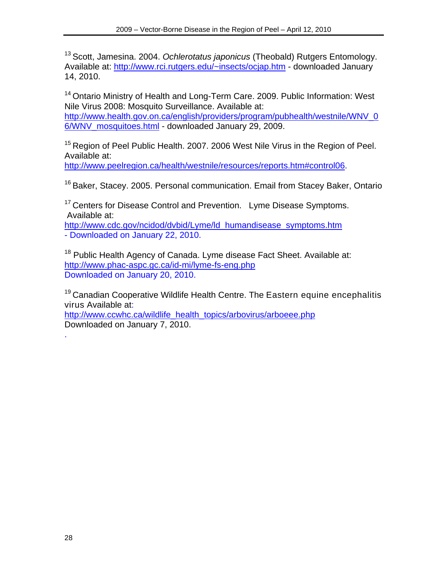13 Scott, Jamesina. 2004. *Ochlerotatus japonicus* (Theobald) Rutgers Entomology. Available at: [http://www.rci.rutgers.edu/~insects/ocjap.htm](http://www.rci.rutgers.edu/%7Einsects/ocjap.htm) - downloaded January 14, 2010.

<sup>14</sup> Ontario Ministry of Health and Long-Term Care. 2009. Public Information: West Nile Virus 2008: Mosquito Surveillance. Available at: [http://www.health.gov.on.ca/english/providers/program/pubhealth/westnile/WNV\\_0](http://www.health.gov.on.ca/english/providers/program/pubhealth/westnile/wnv_06/wnv_mosquitoes.html) [6/WNV\\_mosquitoes.html](http://www.health.gov.on.ca/english/providers/program/pubhealth/westnile/wnv_06/wnv_mosquitoes.html) - downloaded January 29, 2009.

<sup>15</sup> Region of Peel Public Health. 2007. 2006 West Nile Virus in the Region of Peel. Available at:

<http://www.peelregion.ca/health/westnile/resources/reports.htm#control06>.

<sup>16</sup> Baker, Stacey. 2005. Personal communication. Email from Stacey Baker, Ontario

<sup>17</sup> Centers for Disease Control and Prevention. Lyme Disease Symptoms. Available at:

[http://www.cdc.gov/ncidod/dvbid/Lyme/ld\\_humandisease\\_symptoms.htm](http://www.cdc.gov/ncidod/dvbid/Lyme/ld_humandisease_symptoms.htm) - Downloaded on January 22, 2010.

<sup>18</sup> Public Health Agency of Canada. Lyme disease Fact Sheet. Available at: <http://www.phac-aspc.gc.ca/id-mi/lyme-fs-eng.php> Downloaded on January 20, 2010.

<sup>19</sup> Canadian Cooperative Wildlife Health Centre. The Eastern equine encephalitis [virus](http://www.ccwhc.ca/wildlife_health_topics/arbovirus/arboeee.php#intro#intro) Available at:

[http://www.ccwhc.ca/wildlife\\_health\\_topics/arbovirus/arboeee.php](http://www.ccwhc.ca/wildlife_health_topics/arbovirus/arboeee.php) Downloaded on January 7, 2010.

.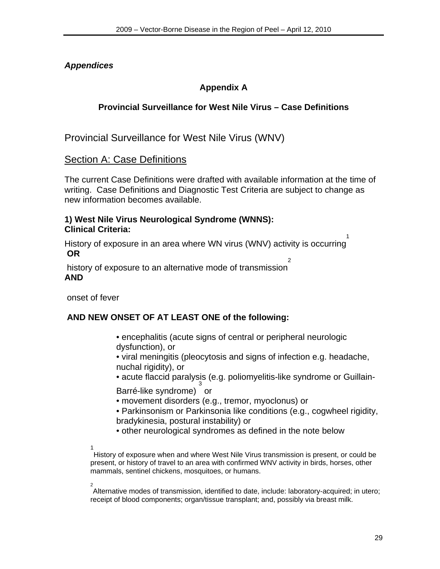# <span id="page-32-0"></span>*Appendices*

# **Appendix A**

# **Provincial Surveillance for West Nile Virus – Case Definitions**

Provincial Surveillance for West Nile Virus (WNV)

# Section A: Case Definitions

The current Case Definitions were drafted with available information at the time of writing. Case Definitions and Diagnostic Test Criteria are subject to change as new information becomes available.

#### **1) West Nile Virus Neurological Syndrome (WNNS): Clinical Criteria:**

History of exposure in an area where WN virus (WNV) activity is occurring 1  **OR**  2

 history of exposure to an alternative mode of transmission **AND** 

onset of fever

# **AND NEW ONSET OF AT LEAST ONE of the following:**

 • encephalitis (acute signs of central or peripheral neurologic dysfunction), or

 • viral meningitis (pleocytosis and signs of infection e.g. headache, nuchal rigidity), or

 • acute flaccid paralysis (e.g. poliomyelitis-like syndrome or Guillain-3

Barré-like syndrome) or

- movement disorders (e.g., tremor, myoclonus) or
- Parkinsonism or Parkinsonia like conditions (e.g., cogwheel rigidity, bradykinesia, postural instability) or
- other neurological syndromes as defined in the note below
- $\overline{1}$

History of exposure when and where West Nile Virus transmission is present, or could be present, or history of travel to an area with confirmed WNV activity in birds, horses, other mammals, sentinel chickens, mosquitoes, or humans.

2

Alternative modes of transmission, identified to date, include: laboratory-acquired; in utero; receipt of blood components; organ/tissue transplant; and, possibly via breast milk.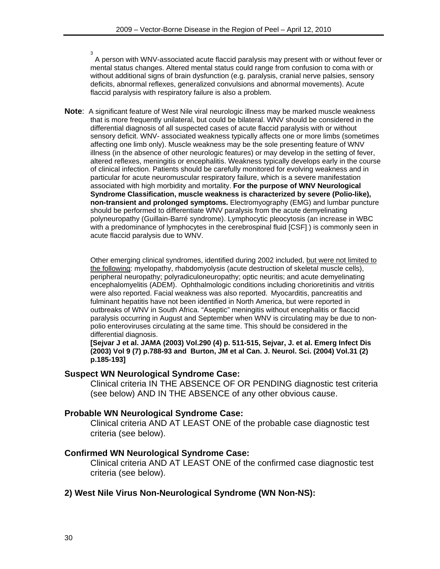3 A person with WNV-associated acute flaccid paralysis may present with or without fever or mental status changes. Altered mental status could range from confusion to coma with or without additional signs of brain dysfunction (e.g. paralysis, cranial nerve palsies, sensory deficits, abnormal reflexes, generalized convulsions and abnormal movements). Acute flaccid paralysis with respiratory failure is also a problem.

**Note**: A significant feature of West Nile viral neurologic illness may be marked muscle weakness that is more frequently unilateral, but could be bilateral. WNV should be considered in the differential diagnosis of all suspected cases of acute flaccid paralysis with or without sensory deficit. WNV- associated weakness typically affects one or more limbs (sometimes affecting one limb only). Muscle weakness may be the sole presenting feature of WNV illness (in the absence of other neurologic features) or may develop in the setting of fever, altered reflexes, meningitis or encephalitis. Weakness typically develops early in the course of clinical infection. Patients should be carefully monitored for evolving weakness and in particular for acute neuromuscular respiratory failure, which is a severe manifestation associated with high morbidity and mortality. **For the purpose of WNV Neurological Syndrome Classification, muscle weakness is characterized by severe (Polio-like), non-transient and prolonged symptoms.** Electromyography (EMG) and lumbar puncture should be performed to differentiate WNV paralysis from the acute demyelinating polyneuropathy (Guillain-Barré syndrome). Lymphocytic pleocytosis (an increase in WBC with a predominance of lymphocytes in the cerebrospinal fluid [CSF] ) is commonly seen in acute flaccid paralysis due to WNV.

Other emerging clinical syndromes, identified during 2002 included, but were not limited to the following: myelopathy, rhabdomyolysis (acute destruction of skeletal muscle cells), peripheral neuropathy; polyradiculoneuropathy; optic neuritis; and acute demyelinating encephalomyelitis (ADEM). Ophthalmologic conditions including chorioretinitis and vitritis were also reported. Facial weakness was also reported. Myocarditis, pancreatitis and fulminant hepatitis have not been identified in North America, but were reported in outbreaks of WNV in South Africa. "Aseptic" meningitis without encephalitis or flaccid paralysis occurring in August and September when WNV is circulating may be due to nonpolio enteroviruses circulating at the same time. This should be considered in the differential diagnosis.

**[Sejvar J et al. JAMA (2003) Vol.290 (4) p. 511-515, Sejvar, J. et al. Emerg Infect Dis (2003) Vol 9 (7) p.788-93 and Burton, JM et al Can. J. Neurol. Sci. (2004) Vol.31 (2) p.185-193]** 

#### **Suspect WN Neurological Syndrome Case:**

Clinical criteria IN THE ABSENCE OF OR PENDING diagnostic test criteria (see below) AND IN THE ABSENCE of any other obvious cause.

#### **Probable WN Neurological Syndrome Case:**

Clinical criteria AND AT LEAST ONE of the probable case diagnostic test criteria (see below).

#### **Confirmed WN Neurological Syndrome Case:**

Clinical criteria AND AT LEAST ONE of the confirmed case diagnostic test criteria (see below).

#### **2) West Nile Virus Non-Neurological Syndrome (WN Non-NS):**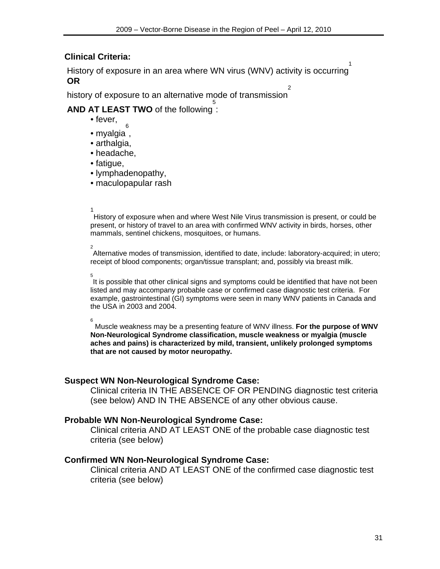# **Clinical Criteria:**

 History of exposure in an area where WN virus (WNV) activity is occurring 1  **OR** 

 history of exposure to an alternative mode of transmission 2

#### **AND AT LEAST TWO** of the following : 5

- fever,
- myalgia , 6
- arthalgia,
- headache,
- fatigue,
- lymphadenopathy,
- maculopapular rash

# 1<br>1<br>1<br>1

History of exposure when and where West Nile Virus transmission is present, or could be present, or history of travel to an area with confirmed WNV activity in birds, horses, other mammals, sentinel chickens, mosquitoes, or humans.

 2 Alternative modes of transmission, identified to date, include: laboratory-acquired; in utero; receipt of blood components; organ/tissue transplant; and, possibly via breast milk.

 $\overline{5}$ 

It is possible that other clinical signs and symptoms could be identified that have not been listed and may accompany probable case or confirmed case diagnostic test criteria. For example, gastrointestinal (GI) symptoms were seen in many WNV patients in Canada and the USA in 2003 and 2004.

6

 Muscle weakness may be a presenting feature of WNV illness. **For the purpose of WNV Non-Neurological Syndrome classification, muscle weakness or myalgia (muscle aches and pains) is characterized by mild, transient, unlikely prolonged symptoms that are not caused by motor neuropathy.** 

#### **Suspect WN Non-Neurological Syndrome Case:**

Clinical criteria IN THE ABSENCE OF OR PENDING diagnostic test criteria (see below) AND IN THE ABSENCE of any other obvious cause.

#### **Probable WN Non-Neurological Syndrome Case:**

Clinical criteria AND AT LEAST ONE of the probable case diagnostic test criteria (see below)

#### **Confirmed WN Non-Neurological Syndrome Case:**

Clinical criteria AND AT LEAST ONE of the confirmed case diagnostic test criteria (see below)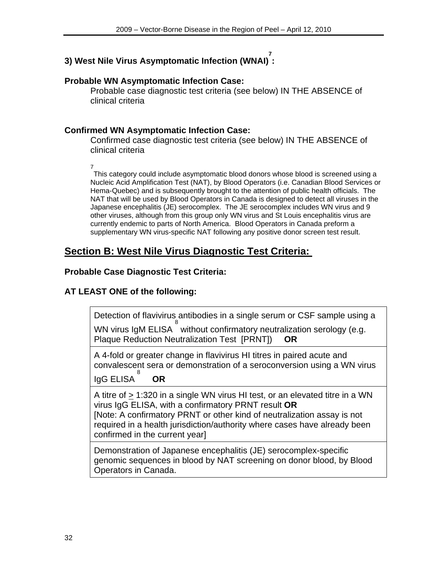#### **3) West Nile Virus Asymptomatic Infection (WNAI) 7 :**

### **Probable WN Asymptomatic Infection Case:**

Probable case diagnostic test criteria (see below) IN THE ABSENCE of clinical criteria

## **Confirmed WN Asymptomatic Infection Case:**

Confirmed case diagnostic test criteria (see below) IN THE ABSENCE of clinical criteria

7

This category could include asymptomatic blood donors whose blood is screened using a Nucleic Acid Amplification Test (NAT), by Blood Operators (i.e. Canadian Blood Services or Hema-Quebec) and is subsequently brought to the attention of public health officials. The NAT that will be used by Blood Operators in Canada is designed to detect all viruses in the Japanese encephalitis (JE) serocomplex. The JE serocomplex includes WN virus and 9 other viruses, although from this group only WN virus and St Louis encephalitis virus are currently endemic to parts of North America. Blood Operators in Canada preform a supplementary WN virus-specific NAT following any positive donor screen test result.

# **Section B: West Nile Virus Diagnostic Test Criteria:**

### **Probable Case Diagnostic Test Criteria:**

# **AT LEAST ONE of the following:**

Detection of flavivirus antibodies in a single serum or CSF sample using a 8

WN virus IgM ELISA without confirmatory neutralization serology (e.g. Plaque Reduction Neutralization Test [PRNT]) **OR**

A 4-fold or greater change in flavivirus HI titres in paired acute and convalescent sera or demonstration of a seroconversion using a WN virus 8

IgG ELISA **OR**

A titre of > 1:320 in a single WN virus HI test, or an elevated titre in a WN virus IgG ELISA, with a confirmatory PRNT result **OR** [Note: A confirmatory PRNT or other kind of neutralization assay is not required in a health jurisdiction/authority where cases have already been confirmed in the current year]

Demonstration of Japanese encephalitis (JE) serocomplex-specific genomic sequences in blood by NAT screening on donor blood, by Blood Operators in Canada.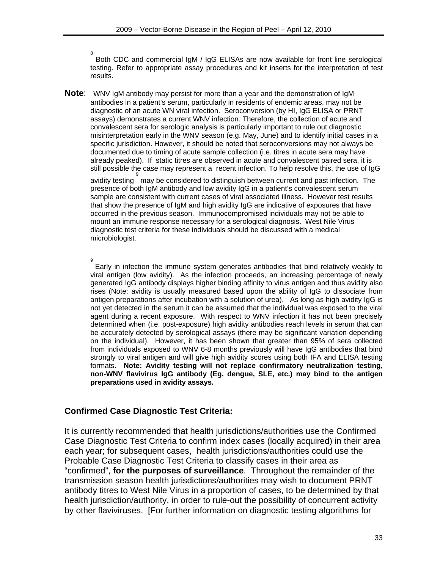8 Both CDC and commercial IgM / IgG ELISAs are now available for front line serological testing. Refer to appropriate assay procedures and kit inserts for the interpretation of test results.

**Note**: WNV IgM antibody may persist for more than a year and the demonstration of IgM antibodies in a patient's serum, particularly in residents of endemic areas, may not be diagnostic of an acute WN viral infection. Seroconversion (by HI, IgG ELISA or PRNT assays) demonstrates a current WNV infection. Therefore, the collection of acute and convalescent sera for serologic analysis is particularly important to rule out diagnostic misinterpretation early in the WNV season (e.g. May, June) and to identify initial cases in a specific jurisdiction. However, it should be noted that seroconversions may not always be documented due to timing of acute sample collection (i.e. titres in acute sera may have already peaked). If static titres are observed in acute and convalescent paired sera, it is still possible the case may represent a recent infection. To help resolve this, the use of IgG 9

avidity testing may be considered to distinguish between current and past infection. The presence of both IgM antibody and low avidity IgG in a patient's convalescent serum sample are consistent with current cases of viral associated illness. However test results that show the presence of IgM and high avidity IgG are indicative of exposures that have occurred in the previous season. Immunocompromised individuals may not be able to mount an immune response necessary for a serological diagnosis. West Nile Virus diagnostic test criteria for these individuals should be discussed with a medical microbiologist.

9

Early in infection the immune system generates antibodies that bind relatively weakly to viral antigen (low avidity). As the infection proceeds, an increasing percentage of newly generated IgG antibody displays higher binding affinity to virus antigen and thus avidity also rises (Note: avidity is usually measured based upon the ability of IgG to dissociate from antigen preparations after incubation with a solution of urea). As long as high avidity IgG is not yet detected in the serum it can be assumed that the individual was exposed to the viral agent during a recent exposure. With respect to WNV infection it has not been precisely determined when (i.e. post-exposure) high avidity antibodies reach levels in serum that can be accurately detected by serological assays (there may be significant variation depending on the individual). However, it has been shown that greater than 95% of sera collected from individuals exposed to WNV 6-8 months previously will have IgG antibodies that bind strongly to viral antigen and will give high avidity scores using both IFA and ELISA testing formats. **Note: Avidity testing will not replace confirmatory neutralization testing, non-WNV flavivirus IgG antibody (Eg. dengue, SLE, etc.) may bind to the antigen preparations used in avidity assays.** 

#### **Confirmed Case Diagnostic Test Criteria:**

It is currently recommended that health jurisdictions/authorities use the Confirmed Case Diagnostic Test Criteria to confirm index cases (locally acquired) in their area each year; for subsequent cases, health jurisdictions/authorities could use the Probable Case Diagnostic Test Criteria to classify cases in their area as "confirmed", **for the purposes of surveillance**. Throughout the remainder of the transmission season health jurisdictions/authorities may wish to document PRNT antibody titres to West Nile Virus in a proportion of cases, to be determined by that health jurisdiction/authority, in order to rule-out the possibility of concurrent activity by other flaviviruses. [For further information on diagnostic testing algorithms for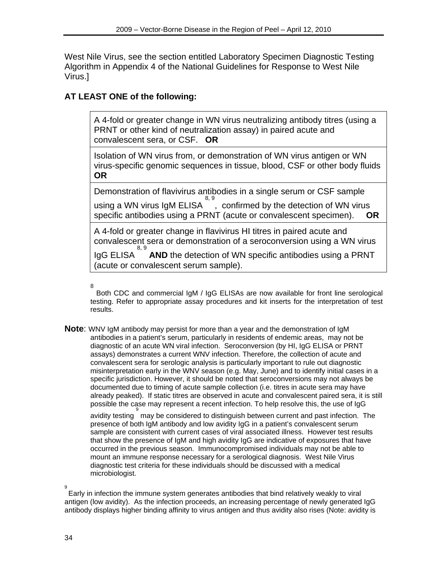West Nile Virus, see the section entitled Laboratory Specimen Diagnostic Testing Algorithm in Appendix 4 of the National Guidelines for Response to West Nile Virus.]

# **AT LEAST ONE of the following:**

A 4-fold or greater change in WN virus neutralizing antibody titres (using a PRNT or other kind of neutralization assay) in paired acute and convalescent sera, or CSF. **OR**

Isolation of WN virus from, or demonstration of WN virus antigen or WN virus-specific genomic sequences in tissue, blood, CSF or other body fluids **OR**

Demonstration of flavivirus antibodies in a single serum or CSF sample using a WN virus IgM ELISA 8, 9 , confirmed by the detection of WN virus specific antibodies using a PRNT (acute or convalescent specimen). **OR**

A 4-fold or greater change in flavivirus HI titres in paired acute and convalescent sera or demonstration of a seroconversion using a WN virus

IgG ELISA 8, 9 **AND** the detection of WN specific antibodies using a PRNT (acute or convalescent serum sample).

8

 Both CDC and commercial IgM / IgG ELISAs are now available for front line serological testing. Refer to appropriate assay procedures and kit inserts for the interpretation of test results.

**Note**: WNV IgM antibody may persist for more than a year and the demonstration of IgM antibodies in a patient's serum, particularly in residents of endemic areas, may not be diagnostic of an acute WN viral infection. Seroconversion (by HI, IgG ELISA or PRNT assays) demonstrates a current WNV infection. Therefore, the collection of acute and convalescent sera for serologic analysis is particularly important to rule out diagnostic misinterpretation early in the WNV season (e.g. May, June) and to identify initial cases in a specific jurisdiction. However, it should be noted that seroconversions may not always be documented due to timing of acute sample collection (i.e. titres in acute sera may have already peaked). If static titres are observed in acute and convalescent paired sera, it is still possible the case may represent a recent infection. To help resolve this, the use of IgG

.<br>avidity testing  $\stackrel{\circ}{\,}$  may be considered to distinguish between current and past infection. The presence of both IgM antibody and low avidity IgG in a patient's convalescent serum sample are consistent with current cases of viral associated illness. However test results that show the presence of IgM and high avidity IgG are indicative of exposures that have occurred in the previous season. Immunocompromised individuals may not be able to mount an immune response necessary for a serological diagnosis. West Nile Virus diagnostic test criteria for these individuals should be discussed with a medical microbiologist.

 <sup>9</sup>  Early in infection the immune system generates antibodies that bind relatively weakly to viral antigen (low avidity). As the infection proceeds, an increasing percentage of newly generated IgG antibody displays higher binding affinity to virus antigen and thus avidity also rises (Note: avidity is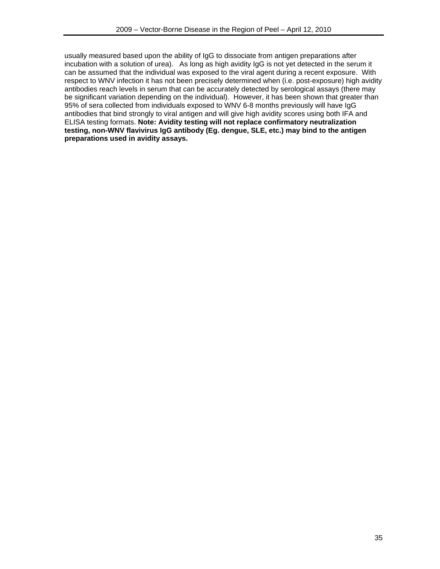usually measured based upon the ability of IgG to dissociate from antigen preparations after incubation with a solution of urea). As long as high avidity IgG is not yet detected in the serum it can be assumed that the individual was exposed to the viral agent during a recent exposure. With respect to WNV infection it has not been precisely determined when (i.e. post-exposure) high avidity antibodies reach levels in serum that can be accurately detected by serological assays (there may be significant variation depending on the individual). However, it has been shown that greater than 95% of sera collected from individuals exposed to WNV 6-8 months previously will have IgG antibodies that bind strongly to viral antigen and will give high avidity scores using both IFA and ELISA testing formats. **Note: Avidity testing will not replace confirmatory neutralization testing, non-WNV flavivirus IgG antibody (Eg. dengue, SLE, etc.) may bind to the antigen preparations used in avidity assays.**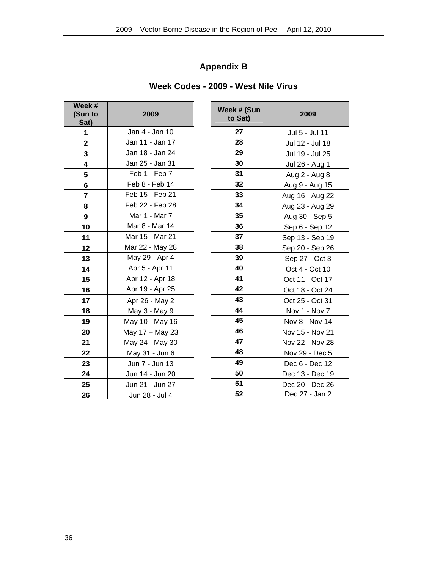# **Appendix B**

| Week Codes - 2009 - West Nile Virus |  |  |  |  |  |
|-------------------------------------|--|--|--|--|--|
|-------------------------------------|--|--|--|--|--|

| Week #<br>(Sun to<br>Sat) | 2009            |  |  |  |
|---------------------------|-----------------|--|--|--|
| 1                         | Jan 4 - Jan 10  |  |  |  |
| $\overline{2}$            | Jan 11 - Jan 17 |  |  |  |
| 3                         | Jan 18 - Jan 24 |  |  |  |
| 4                         | Jan 25 - Jan 31 |  |  |  |
| 5                         | Feb 1 - Feb 7   |  |  |  |
| 6                         | Feb 8 - Feb 14  |  |  |  |
| 7                         | Feb 15 - Feb 21 |  |  |  |
| 8                         | Feb 22 - Feb 28 |  |  |  |
| 9                         | Mar 1 - Mar 7   |  |  |  |
| 10                        | Mar 8 - Mar 14  |  |  |  |
| 11                        | Mar 15 - Mar 21 |  |  |  |
| 12                        | Mar 22 - May 28 |  |  |  |
| 13                        | May 29 - Apr 4  |  |  |  |
| 14                        | Apr 5 - Apr 11  |  |  |  |
| 15                        | Apr 12 - Apr 18 |  |  |  |
| 16                        | Apr 19 - Apr 25 |  |  |  |
| 17                        | Apr 26 - May 2  |  |  |  |
| 18                        | May 3 - May 9   |  |  |  |
| 19                        | May 10 - May 16 |  |  |  |
| 20                        | May 17 - May 23 |  |  |  |
| 21                        | May 24 - May 30 |  |  |  |
| 22                        | May 31 - Jun 6  |  |  |  |
| 23                        | Jun 7 - Jun 13  |  |  |  |
| 24                        | Jun 14 - Jun 20 |  |  |  |
| 25                        | Jun 21 - Jun 27 |  |  |  |
| 26                        | Jun 28 - Jul 4  |  |  |  |

| ek #<br>un to<br>Sat)   | 2009            | Week # (Sun<br>to Sat) | 2009            |
|-------------------------|-----------------|------------------------|-----------------|
| $\mathbf{1}$            | Jan 4 - Jan 10  | 27                     | Jul 5 - Jul 11  |
| $\boldsymbol{2}$        | Jan 11 - Jan 17 | 28                     | Jul 12 - Jul 18 |
| $\overline{\mathbf{3}}$ | Jan 18 - Jan 24 | 29                     | Jul 19 - Jul 25 |
| $\overline{\mathbf{4}}$ | Jan 25 - Jan 31 | 30                     | Jul 26 - Aug 1  |
| ${\bf 5}$               | Feb 1 - Feb 7   | 31                     | Aug 2 - Aug 8   |
| 6                       | Feb 8 - Feb 14  | 32                     | Aug 9 - Aug 15  |
| $\overline{7}$          | Feb 15 - Feb 21 | 33                     | Aug 16 - Aug 22 |
| 8                       | Feb 22 - Feb 28 | 34                     | Aug 23 - Aug 29 |
| $\boldsymbol{9}$        | Mar 1 - Mar 7   | 35                     | Aug 30 - Sep 5  |
| 10                      | Mar 8 - Mar 14  | 36                     | Sep 6 - Sep 12  |
| 11                      | Mar 15 - Mar 21 | 37                     | Sep 13 - Sep 19 |
| 12                      | Mar 22 - May 28 | 38                     | Sep 20 - Sep 26 |
| 13                      | May 29 - Apr 4  | 39                     | Sep 27 - Oct 3  |
| 14                      | Apr 5 - Apr 11  | 40                     | Oct 4 - Oct 10  |
| 15                      | Apr 12 - Apr 18 | 41                     | Oct 11 - Oct 17 |
| 16                      | Apr 19 - Apr 25 | 42                     | Oct 18 - Oct 24 |
| 17                      | Apr 26 - May 2  | 43                     | Oct 25 - Oct 31 |
| 18                      | May 3 - May 9   | 44                     | Nov 1 - Nov 7   |
| 19                      | May 10 - May 16 | 45                     | Nov 8 - Nov 14  |
| 20                      | May 17 - May 23 | 46                     | Nov 15 - Nov 21 |
| <u>21</u>               | May 24 - May 30 | 47                     | Nov 22 - Nov 28 |
| <u>22</u>               | May 31 - Jun 6  | 48                     | Nov 29 - Dec 5  |
| <u>23</u>               | Jun 7 - Jun 13  | 49                     | Dec 6 - Dec 12  |
| <u>24</u>               | Jun 14 - Jun 20 | 50                     | Dec 13 - Dec 19 |
| <u>25</u>               | Jun 21 - Jun 27 | 51                     | Dec 20 - Dec 26 |
| 26                      | Jun 28 - Jul 4  | 52                     | Dec 27 - Jan 2  |